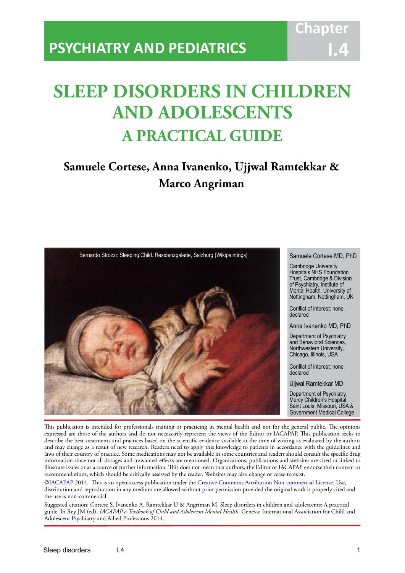# **SLEEP DISORDERS IN CHILDREN AND ADOLESCENTS A PRACTICAL GUIDE**

IACAPAP Textbook of Child and Adolescent Mental Health

## **Samuele Cortese, Anna Ivanenko, Ujjwal Ramtekkar & Marco Angriman**



#### Samuele Cortese MD, PhD

Cambridge University Hospitals NHS Foundation Trust, Cambridge & Division of Psychiatry, Institute of Mental Health, University of Nottingham, Nottingham, UK

Conflict of interest: none declared

Anna Ivanenko MD, PhD

Department of Psychiatry and Behavioral Sciences, Northwestern University, Chicago, Illinois, USA

Conflict of interest: none declared

Ujjwal Ramtekkar MD

Department of Psychiatry, Mercy Children's Hospital, Saint Louis, Missouri, USA & Government Medical College

This publication is intended for professionals training or practicing in mental health and not for the general public. The opinions expressed are those of the authors and do not necessarily represent the views of the Editor or IACAPAP. This publication seeks to describe the best treatments and practices based on the scientific evidence available at the time of writing as evaluated by the authors and may change as a result of new research. Readers need to apply this knowledge to patients in accordance with the guidelines and laws of their country of practice. Some medications may not be available in some countries and readers should consult the specific drug information since not all dosages and unwanted effects are mentioned. Organizations, publications and websites are cited or linked to illustrate issues or as a source of further information. This does not mean that authors, the Editor or IACAPAP endorse their content or recommendations, which should be critically assessed by the reader. Websites may also change or cease to exist.

[©IACAPAP](http://iacapap.org/) 2014. This is an open-access publication under the [Creative Commons Attribution Non-commercial License](http://creativecommons.org/licenses/by-nc/2.0/). Use, distribution and reproduction in any medium are allowed without prior permission provided the original work is properly cited and the use is non-commercial.

Suggested citation: Cortese S, Ivanenko A, Ramtekkar U & Angriman M. Sleep disorders in children and adolescents: A practical guide. In Rey JM (ed), *IACAPAP e-Textbook of Child and Adolescent Mental Health*. Geneva: International Association for Child and Adolescent Psychiatry and Allied Professions 2014.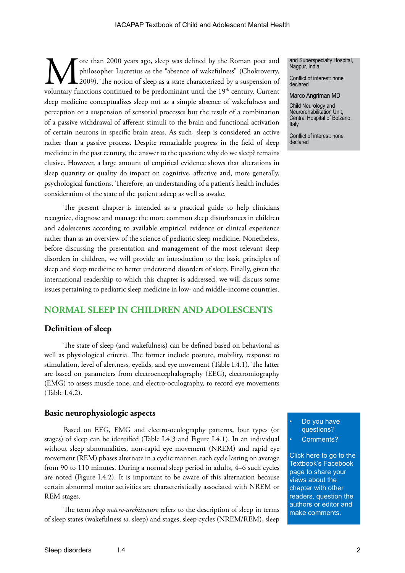The formulation of sleep was defined by the Roman poet and philosopher Lucretius as the "absence of wakefulness" (Chokroverty, 2009). The notion of sleep as a state characterized by a suspension of voluntary functions cont philosopher Lucretius as the "absence of wakefulness" (Chokroverty, 2009). The notion of sleep as a state characterized by a suspension of voluntary functions continued to be predominant until the  $19<sup>th</sup>$  century. Current sleep medicine conceptualizes sleep not as a simple absence of wakefulness and perception or a suspension of sensorial processes but the result of a combination of a passive withdrawal of afferent stimuli to the brain and functional activation of certain neurons in specific brain areas. As such, sleep is considered an active rather than a passive process. Despite remarkable progress in the field of sleep medicine in the past century, the answer to the question: why do we sleep? remains elusive. However, a large amount of empirical evidence shows that alterations in sleep quantity or quality do impact on cognitive, affective and, more generally, psychological functions. Therefore, an understanding of a patient's health includes consideration of the state of the patient asleep as well as awake.

The present chapter is intended as a practical guide to help clinicians recognize, diagnose and manage the more common sleep disturbances in children and adolescents according to available empirical evidence or clinical experience rather than as an overview of the science of pediatric sleep medicine. Nonetheless, before discussing the presentation and management of the most relevant sleep disorders in children, we will provide an introduction to the basic principles of sleep and sleep medicine to better understand disorders of sleep. Finally, given the international readership to which this chapter is addressed, we will discuss some issues pertaining to pediatric sleep medicine in low- and middle-income countries.

#### **NORMAL SLEEP IN CHILDREN AND ADOLESCENTS**

#### **Definition of sleep**

The state of sleep (and wakefulness) can be defined based on behavioral as well as physiological criteria. The former include posture, mobility, response to stimulation, level of alertness, eyelids, and eye movement (Table I.4.1). The latter are based on parameters from electroencephalography (EEG), electromiography (EMG) to assess muscle tone, and electro-oculography, to record eye movements (Table I.4.2).

#### **Basic neurophysiologic aspects**

Based on EEG, EMG and electro-oculography patterns, four types (or stages) of sleep can be identified (Table I.4.3 and Figure I.4.1). In an individual without sleep abnormalities, non-rapid eye movement (NREM) and rapid eye movement (REM) phases alternate in a cyclic manner, each cycle lasting on average from 90 to 110 minutes. During a normal sleep period in adults, 4–6 such cycles are noted (Figure I.4.2). It is important to be aware of this alternation because certain abnormal motor activities are characteristically associated with NREM or REM stages.

The term *sleep macro-architecture* refers to the description of sleep in terms of sleep states (wakefulness *vs*. sleep) and stages, sleep cycles (NREM/REM), sleep and Superspecialty Hospital, Nagpur, India

Conflict of interest: none declared

Marco Angriman MD

Child Neurology and Neurorehabilitation Unit, Central Hospital of Bolzano, Italy

Conflict of interest: none declared

Do you have questions? Comments?

[Click here to go to the](https://www.facebook.com/pages/IACAPAP-Textbook-of-Child-and-Adolescent-Mental-Health/249690448525378)  Textbook's Facebook page to share your views about the chapter with other readers, question the authors or editor and make comments.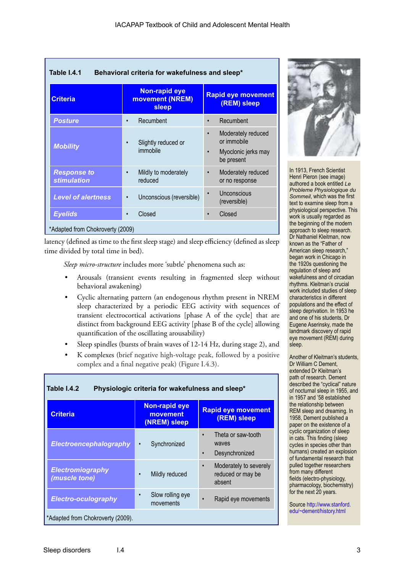| Table I.4.1<br>Behavioral criteria for wakefulness and sleep* |                                                  |                                                                                                  |
|---------------------------------------------------------------|--------------------------------------------------|--------------------------------------------------------------------------------------------------|
| <b>Criteria</b>                                               | <b>Non-rapid eye</b><br>movement (NREM)<br>sleep | <b>Rapid eye movement</b><br>(REM) sleep                                                         |
| <b>Posture</b>                                                | Recumbent<br>$\bullet$                           | Recumbent<br>$\bullet$                                                                           |
| <b>Mobility</b>                                               | Slightly reduced or<br>$\bullet$<br>immobile     | Moderately reduced<br>$\bullet$<br>or immobile<br>Myoclonic jerks may<br>$\bullet$<br>be present |
| <b>Response to</b><br><b>stimulation</b>                      | Mildly to moderately<br>$\bullet$<br>reduced     | Moderately reduced<br>$\bullet$<br>or no response                                                |
| <b>Level of alertness</b>                                     | Unconscious (reversible)<br>$\bullet$            | Unconscious<br>$\bullet$<br>(reversible)                                                         |
| <b>Eyelids</b>                                                | Closed<br>$\bullet$                              | Closed                                                                                           |
| *Adapted from Chokroverty (2009)                              |                                                  |                                                                                                  |

latency (defined as time to the first sleep stage) and sleep efficiency (defined as sleep time divided by total time in bed).

*Sleep micro-structure* includes more 'subtle' phenomena such as:

- Arousals (transient events resulting in fragmented sleep without behavioral awakening)
- Cyclic alternating pattern (an endogenous rhythm present in NREM sleep characterized by a periodic EEG activity with sequences of transient electrocortical activations [phase A of the cycle] that are distinct from background EEG activity [phase B of the cycle] allowing quantification of the oscillating arousability)
- Sleep spindles (bursts of brain waves of 12-14 Hz, during stage 2), and
- K complexes (brief negative high-voltage peak, followed by a positive complex and a final negative peak) (Figure I.4.3).

| Table I.4.2<br>Physiologic criteria for wakefulness and sleep* |                                                  |                                                                         |
|----------------------------------------------------------------|--------------------------------------------------|-------------------------------------------------------------------------|
| <b>Criteria</b>                                                | <b>Non-rapid eye</b><br>movement<br>(NREM) sleep | <b>Rapid eye movement</b><br>(REM) sleep                                |
| Electroencephalography                                         | Synchronized                                     | Theta or saw-tooth<br>$\bullet$<br>waves<br>Desynchronized<br>$\bullet$ |
| <b>Electromiography</b><br>(muscle tone)                       | Mildly reduced                                   | Moderately to severely<br>$\bullet$<br>reduced or may be<br>absent      |
| <b>Electro-oculography</b>                                     | Slow rolling eye<br>movements                    | Rapid eye movements                                                     |
| *Adapted from Chokroverty (2009).                              |                                                  |                                                                         |



In 1913, French Scientist Henri Pieron (see image) authored a book entitled *Le Probleme Physiologique du Sommeil*, which was the first text to examine sleep from a physiological perspective. This work is usually regarded as the beginning of the modern approach to sleep research. Dr Nathaniel Kleitman, now known as the "Father of American sleep research," began work in Chicago in the 1920s questioning the regulation of sleep and wakefulness and of circadian rhythms. Kleitman's crucial work included studies of sleep characteristics in different populations and the effect of sleep deprivation. In 1953 he and one of his students, Dr Eugene Aserinsky, made the landmark discovery of rapid eye movement (REM) during sleep.

Another of Kleitman's students, Dr William C Dement, extended Dr Kleitman's path of research. Dement described the "cyclical" nature of nocturnal sleep in 1955, and in 1957 and '58 established the relationship between REM sleep and dreaming. In 1958, Dement published a paper on the existence of a cyclic organization of sleep in cats. This finding (sleep cycles in species other than humans) created an explosion of fundamental research that pulled together researchers from many different fields (electro-physiology, pharmacology, biochemistry) for the next 20 years.

Source [http://www.stanford.](http://www.stanford.edu/~dement/history.html
) [edu/~dement/history.html](http://www.stanford.edu/~dement/history.html
)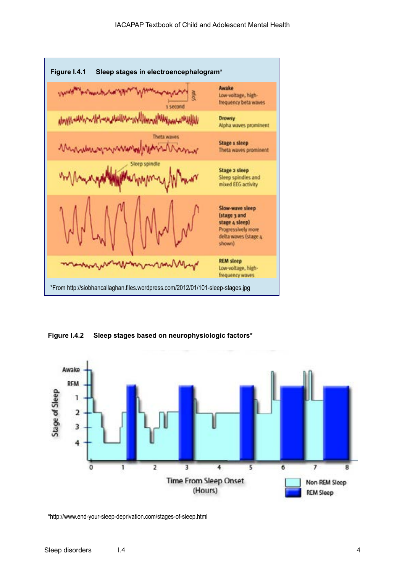

**Figure I.4.2 Sleep stages based on neurophysiologic factors\***



\*http://www.end-your-sleep-deprivation.com/stages-of-sleep.html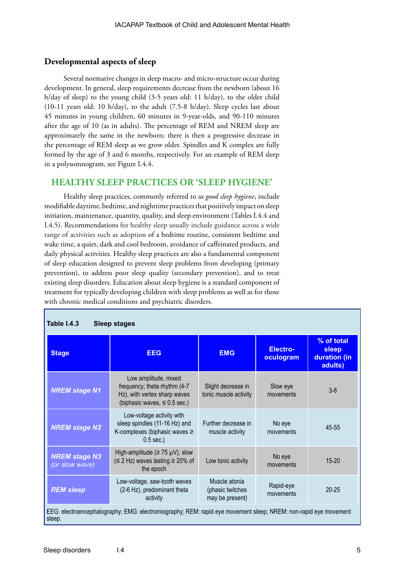#### **Developmental aspects of sleep**

Several normative changes in sleep macro- and micro-structure occur during development. In general, sleep requirements decrease from the newborn (about 16 h/day of sleep) to the young child (3-5 years old: 11 h/day), to the older child (10-11 years old: 10 h/day), to the adult (7.5-8 h/day). Sleep cycles last about 45 minutes in young children, 60 minutes in 9-year-olds, and 90-110 minutes after the age of 10 (as in adults). The percentage of REM and NREM sleep are approximately the same in the newborn; there is then a progressive decrease in the percentage of REM sleep as we grow older. Spindles and K complex are fully formed by the age of 3 and 6 months, respectively. For an example of REM sleep in a polysomnogram, see Figure I.4.4.

#### **HEALTHY SLEEP PRACTICES OR 'SLEEP HYGIENE'**

Healthy sleep practices, commonly referred to as *good sleep hygiene*, include modifiable daytime, bedtime, and nighttime practices that positively impact on sleep initiation, maintenance, quantity, quality, and sleep environment (Tables I.4.4 and I.4.5). Recommendations for healthy sleep usually include guidance across a wide range of activities such as adoption of a bedtime routine, consistent bedtime and wake time, a quiet, dark and cool bedroom, avoidance of caffeinated products, and daily physical activities. Healthy sleep practices are also a fundamental component of sleep education designed to prevent sleep problems from developing (primary prevention), to address poor sleep quality (secondary prevention), and to treat existing sleep disorders. Education about sleep hygiene is a standard component of treatment for typically developing children with sleep problems as well as for those with chronic medical conditions and psychiatric disorders.

| <b>Table I.4.3</b><br>Sleep stages                                                                                        |                                                                                                                           |                                                      |                        |                                                |
|---------------------------------------------------------------------------------------------------------------------------|---------------------------------------------------------------------------------------------------------------------------|------------------------------------------------------|------------------------|------------------------------------------------|
| <b>Stage</b>                                                                                                              | <b>EEG</b>                                                                                                                | <b>EMG</b>                                           | Electro-<br>oculogram  | % of total<br>sleep<br>duration (in<br>adults) |
| <b>NREM stage N1</b>                                                                                                      | Low amplitude, mixed<br>frequency; theta rhythm (4-7<br>Hz), with vertex sharp waves<br>(biphasic waves, $\leq 0.5$ sec.) | Slight decrease in<br>tonic muscle activity          | Slow eye<br>movements  | $3 - 8$                                        |
| <b>NREM stage N2</b>                                                                                                      | Low-voltage activity with<br>sleep spindles (11-16 Hz) and<br>K-complexes (biphasic waves ≥<br>$0.5$ sec.)                | Further decrease in<br>muscle activity               | No eye<br>movements    | 45-55                                          |
| <b>NREM stage N3</b><br>(or slow wave)                                                                                    | High-amplitude ( $\geq$ 75 µV), slow<br>$(S 2 Hz)$ waves lasting $\geq 20\%$ of<br>the epoch                              | Low tonic activity                                   | No eye<br>movements    | $15 - 20$                                      |
| <b>REM sleep</b>                                                                                                          | Low-voltage, saw-tooth waves<br>(2-6 Hz), predominant theta<br>activity                                                   | Muscle atonia<br>(phasic twitches<br>may be present) | Rapid-eye<br>movements | $20 - 25$                                      |
| EEG: electroencephalography; EMG: electromiography; REM: rapid eye movement sleep; NREM: non-rapid eye movement<br>sleep. |                                                                                                                           |                                                      |                        |                                                |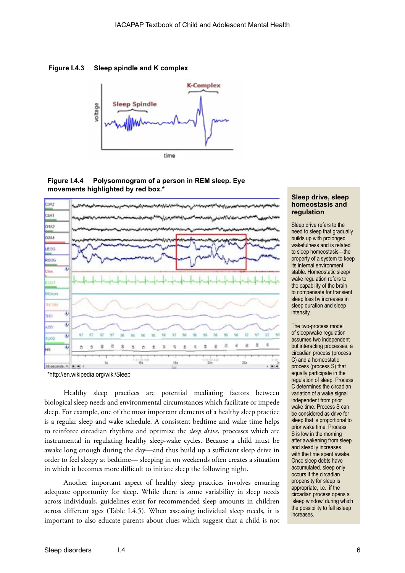**Figure I.4.3 Sleep spindle and K complex**







\*http://en.wikipedia.org/wiki/Sleep

Healthy sleep practices are potential mediating factors between biological sleep needs and environmental circumstances which facilitate or impede sleep. For example, one of the most important elements of a healthy sleep practice is a regular sleep and wake schedule. A consistent bedtime and wake time helps to reinforce circadian rhythms and optimize the *sleep drive*, processes which are instrumental in regulating healthy sleep-wake cycles. Because a child must be awake long enough during the day—and thus build up a sufficient sleep drive in order to feel sleepy at bedtime— sleeping in on weekends often creates a situation in which it becomes more difficult to initiate sleep the following night.

Another important aspect of healthy sleep practices involves ensuring adequate opportunity for sleep. While there is some variability in sleep needs across individuals, guidelines exist for recommended sleep amounts in children across different ages (Table I.4.5). When assessing individual sleep needs, it is important to also educate parents about clues which suggest that a child is not

#### **Sleep drive, sleep homeostasis and regulation**

Sleep drive refers to the need to sleep that gradually builds up with prolonged wakefulness and is related to sleep homeostasis—the property of a system to keep its internal environment stable. Homeostatic sleep/ wake regulation refers to the capability of the brain to compensate for transient sleep loss by increases in sleep duration and sleep intensity.

The two-process model of sleep/wake regulation assumes two independent but interacting processes, a circadian process (process C) and a homeostatic process (process S) that equally participate in the regulation of sleep. Process C determines the circadian variation of a wake signal independent from prior wake time. Process S can be considered as drive for sleep that is proportional to prior wake time. Process S is low in the morning after awakening from sleep and steadily increases with the time spent awake. Once sleep debts have accumulated, sleep only occurs if the circadian propensity for sleep is appropriate, i.e., if the circadian process opens a 'sleep window' during which the possibility to fall asleep increases.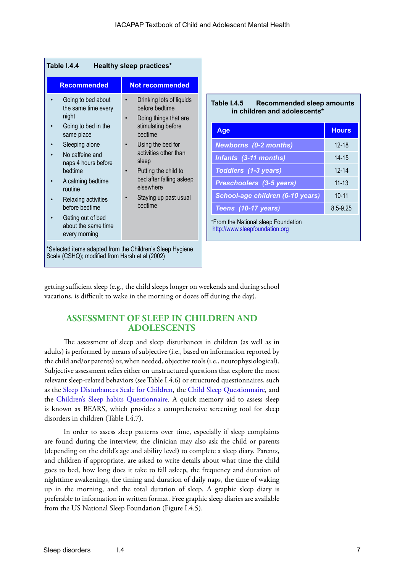| Table I.4.4<br><b>Healthy sleep practices*</b>                                                                                                                                                                                                                                                       |                                                                                                                                                                                                                                                                  |                |
|------------------------------------------------------------------------------------------------------------------------------------------------------------------------------------------------------------------------------------------------------------------------------------------------------|------------------------------------------------------------------------------------------------------------------------------------------------------------------------------------------------------------------------------------------------------------------|----------------|
| <b>Recommended</b>                                                                                                                                                                                                                                                                                   | <b>Not recommended</b>                                                                                                                                                                                                                                           |                |
| Going to bed about<br>the same time every<br>night<br>Going to bed in the<br>same place<br>Sleeping alone<br>No caffeine and<br>naps 4 hours before<br>hedtime<br>A calming bedtime<br>routine<br>Relaxing activities<br>before bedtime<br>Geting out of bed<br>about the same time<br>every morning | Drinking lots of liquids<br>before bedtime<br>Doing things that are<br>stimulating before<br>bedtime<br>Using the bed for<br>activities other than<br>sleep<br>Putting the child to<br>bed after falling asleep<br>elsewhere<br>Staying up past usual<br>bedtime | Тέ<br>*F<br>hi |

#### **Table I.4.5 Recommended sleep amounts in children and adolescents\***

| Age                                                                   | <b>Hours</b> |
|-----------------------------------------------------------------------|--------------|
| <b>Newborns (0-2 months)</b>                                          | $12 - 18$    |
| Infants (3-11 months)                                                 | $14 - 15$    |
| Toddlers (1-3 years)                                                  | $12 - 14$    |
| Preschoolers (3-5 years)                                              | $11 - 13$    |
| School-age children (6-10 years)                                      | $10 - 11$    |
| Teens (10-17 years)                                                   | 8.5-9.25     |
| *From the National sleep Foundation<br>http://www.sleepfoundation.org |              |

getting sufficient sleep (e.g., the child sleeps longer on weekends and during school vacations, is difficult to wake in the morning or dozes off during the day).

#### **ASSESSMENT OF SLEEP IN CHILDREN AND ADOLESCENTS**

The assessment of sleep and sleep disturbances in children (as well as in adults) is performed by means of subjective (i.e., based on information reported by the child and/or parents) or, when needed, objective tools (i.e., neurophysiological). Subjective assessment relies either on unstructured questions that explore the most relevant sleep-related behaviors (see Table I.4.6) or structured questionnaires, such as the [Sleep Disturbances Scale for Children,](http://www.julielowmd.com/Sleep_Disturbances_Scale_for_Children.pdf) the [Child Sleep Questionnaire](http://www.childrensnational.org/files/PDF/DepartmentsAndPrograms/Sleep-Medicine/SL-Child-Qs.pdf), and the [Children's Sleep habits Questionnaire.](http://www.gse.uci.edu/childcare/pdf/questionnaire_interview/Childrens%20Sleep%20Habits%20Questionnaire.pdf) A quick memory aid to assess sleep is known as BEARS, which provides a comprehensive screening tool for sleep disorders in children (Table I.4.7).

In order to assess sleep patterns over time, especially if sleep complaints are found during the interview, the clinician may also ask the child or parents (depending on the child's age and ability level) to complete a sleep diary. Parents, and children if appropriate, are asked to write details about what time the child goes to bed, how long does it take to fall asleep, the frequency and duration of nighttime awakenings, the timing and duration of daily naps, the time of waking up in the morning, and the total duration of sleep. A graphic sleep diary is preferable to information in written format. Free graphic sleep diaries are available from the US National Sleep Foundation (Figure I.4.5).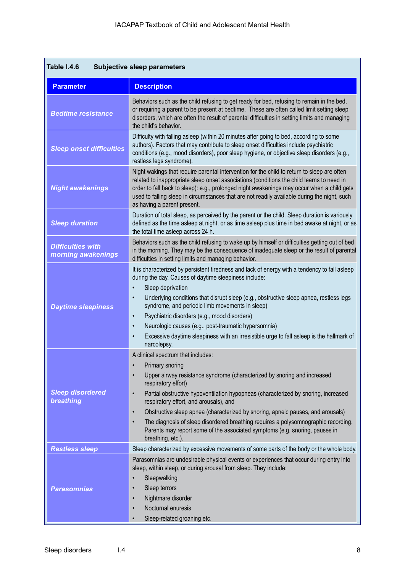| Table I.4.6<br><b>Subjective sleep parameters</b> |                                                                                                                                                                                                                                                                                                                                                                                                                                                                                                                                                                                                                           |  |
|---------------------------------------------------|---------------------------------------------------------------------------------------------------------------------------------------------------------------------------------------------------------------------------------------------------------------------------------------------------------------------------------------------------------------------------------------------------------------------------------------------------------------------------------------------------------------------------------------------------------------------------------------------------------------------------|--|
| <b>Parameter</b>                                  | <b>Description</b>                                                                                                                                                                                                                                                                                                                                                                                                                                                                                                                                                                                                        |  |
| <b>Bedtime resistance</b>                         | Behaviors such as the child refusing to get ready for bed, refusing to remain in the bed,<br>or requiring a parent to be present at bedtime. These are often called limit setting sleep<br>disorders, which are often the result of parental difficulties in setting limits and managing<br>the child's behavior.                                                                                                                                                                                                                                                                                                         |  |
| <b>Sleep onset difficulties</b>                   | Difficulty with falling asleep (within 20 minutes after going to bed, according to some<br>authors). Factors that may contribute to sleep onset difficulties include psychiatric<br>conditions (e.g., mood disorders), poor sleep hygiene, or objective sleep disorders (e.g.,<br>restless legs syndrome).                                                                                                                                                                                                                                                                                                                |  |
| <b>Night awakenings</b>                           | Night wakings that require parental intervention for the child to return to sleep are often<br>related to inappropriate sleep onset associations (conditions the child learns to need in<br>order to fall back to sleep): e.g., prolonged night awakenings may occur when a child gets<br>used to falling sleep in circumstances that are not readily available during the night, such<br>as having a parent present.                                                                                                                                                                                                     |  |
| <b>Sleep duration</b>                             | Duration of total sleep, as perceived by the parent or the child. Sleep duration is variously<br>defined as the time asleep at night, or as time asleep plus time in bed awake at night, or as<br>the total time asleep across 24 h.                                                                                                                                                                                                                                                                                                                                                                                      |  |
| <b>Difficulties with</b><br>morning awakenings    | Behaviors such as the child refusing to wake up by himself or difficulties getting out of bed<br>in the morning. They may be the consequence of inadequate sleep or the result of parental<br>difficulties in setting limits and managing behavior.                                                                                                                                                                                                                                                                                                                                                                       |  |
| <b>Daytime sleepiness</b>                         | It is characterized by persistent tiredness and lack of energy with a tendency to fall asleep<br>during the day. Causes of daytime sleepiness include:<br>Sleep deprivation<br>Underlying conditions that disrupt sleep (e.g., obstructive sleep apnea, restless legs<br>syndrome, and periodic limb movements in sleep)<br>Psychiatric disorders (e.g., mood disorders)<br>$\bullet$<br>Neurologic causes (e.g., post-traumatic hypersomnia)<br>$\bullet$<br>Excessive daytime sleepiness with an irresistible urge to fall asleep is the hallmark of<br>narcolepsy.                                                     |  |
| <b>Sleep disordered</b><br><b>breathing</b>       | A clinical spectrum that includes:<br>Primary snoring<br>$\bullet$<br>Upper airway resistance syndrome (characterized by snoring and increased<br>$\bullet$<br>respiratory effort)<br>Partial obstructive hypoventilation hypopneas (characterized by snoring, increased<br>$\bullet$<br>respiratory effort, and arousals), and<br>Obstructive sleep apnea (characterized by snoring, apneic pauses, and arousals)<br>$\bullet$<br>The diagnosis of sleep disordered breathing requires a polysomnographic recording.<br>Parents may report some of the associated symptoms (e.g. snoring, pauses in<br>breathing, etc.). |  |
| <b>Restless sleep</b>                             | Sleep characterized by excessive movements of some parts of the body or the whole body.                                                                                                                                                                                                                                                                                                                                                                                                                                                                                                                                   |  |
| <b>Parasomnias</b>                                | Parasomnias are undesirable physical events or experiences that occur during entry into<br>sleep, within sleep, or during arousal from sleep. They include:<br>Sleepwalking<br>Sleep terrors<br>Nightmare disorder<br>Nocturnal enuresis<br>$\bullet$<br>Sleep-related groaning etc.<br>$\bullet$                                                                                                                                                                                                                                                                                                                         |  |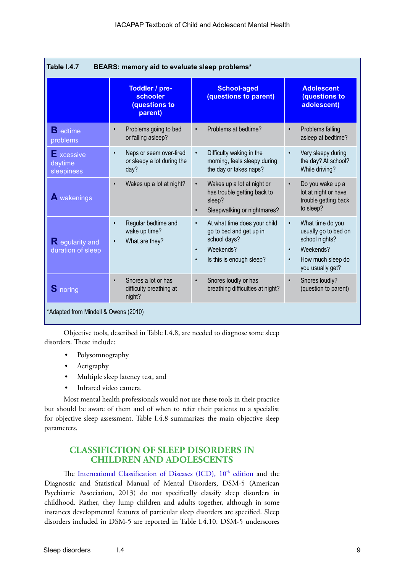| Table I.4.7<br>BEARS: memory aid to evaluate sleep problems* |                                                                            |                                                                                                                                                         |                                                                                                                                            |
|--------------------------------------------------------------|----------------------------------------------------------------------------|---------------------------------------------------------------------------------------------------------------------------------------------------------|--------------------------------------------------------------------------------------------------------------------------------------------|
|                                                              | Toddler / pre-<br>schooler<br><b>(questions to</b><br>parent)              | <b>School-aged</b><br>(questions to parent)                                                                                                             | <b>Adolescent</b><br><b>(questions to</b><br>adolescent)                                                                                   |
| $\mathbf B$ edtime<br>problems                               | Problems going to bed<br>$\bullet$<br>or falling asleep?                   | Problems at bedtime?<br>$\bullet$                                                                                                                       | Problems falling<br>$\bullet$<br>asleep at bedtime?                                                                                        |
| $\blacksquare$ xcessive<br>daytime<br>sleepiness             | Naps or seem over-tired<br>$\bullet$<br>or sleepy a lot during the<br>day? | Difficulty waking in the<br>$\bullet$<br>morning, feels sleepy during<br>the day or takes naps?                                                         | Very sleepy during<br>$\bullet$<br>the day? At school?<br>While driving?                                                                   |
| A wakenings                                                  | Wakes up a lot at night?<br>$\bullet$                                      | Wakes up a lot at night or<br>$\bullet$<br>has trouble getting back to<br>sleep?<br>Sleepwalking or nightmares?<br>$\bullet$                            | Do you wake up a<br>$\bullet$<br>lot at night or have<br>trouble getting back<br>to sleep?                                                 |
| R egularity and<br>duration of sleep                         | Regular bedtime and<br>$\bullet$<br>wake up time?<br>What are they?        | At what time does your child<br>$\bullet$<br>go to bed and get up in<br>school days?<br>Weekends?<br>$\bullet$<br>Is this is enough sleep?<br>$\bullet$ | What time do you<br>$\bullet$<br>usually go to bed on<br>school nights?<br>Weekends?<br>$\bullet$<br>How much sleep do<br>you usually get? |
| <b>S</b> noring                                              | Snores a lot or has<br>$\bullet$<br>difficulty breathing at<br>night?      | Snores loudly or has<br>$\bullet$<br>breathing difficulties at night?                                                                                   | Snores loudly?<br>$\bullet$<br>(question to parent)                                                                                        |
| *Adapted from Mindell & Owens (2010)                         |                                                                            |                                                                                                                                                         |                                                                                                                                            |

Objective tools, described in Table I.4.8, are needed to diagnose some sleep disorders. These include:

- Polysomnography
- Actigraphy
- Multiple sleep latency test, and
- Infrared video camera.

Most mental health professionals would not use these tools in their practice but should be aware of them and of when to refer their patients to a specialist for objective sleep assessment. Table I.4.8 summarizes the main objective sleep parameters.

#### **CLASSIFICTION OF SLEEP DISORDERS IN CHILDREN AND ADOLESCENTS**

The International Classification of Diseases (ICD), 10<sup>th</sup> edition and the Diagnostic and Statistical Manual of Mental Disorders, DSM-5 (American Psychiatric Association, 2013) do not specifically classify sleep disorders in childhood. Rather, they lump children and adults together, although in some instances developmental features of particular sleep disorders are specified. Sleep disorders included in DSM-5 are reported in Table I.4.10. DSM-5 underscores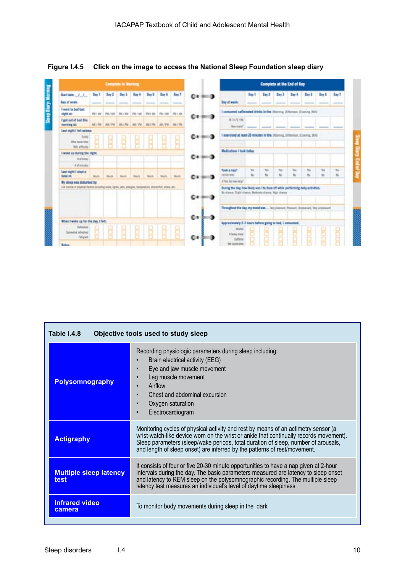

**Figure I.4.5 Click on the image to access the National Sleep Foundation sleep diary** 

| Table I.4.8<br>Objective tools used to study sleep |                                                                                                                                                                                                                                                                                                                                                 |
|----------------------------------------------------|-------------------------------------------------------------------------------------------------------------------------------------------------------------------------------------------------------------------------------------------------------------------------------------------------------------------------------------------------|
| <b>Polysomnography</b>                             | Recording physiologic parameters during sleep including:<br>Brain electrical activity (EEG)<br>Eye and jaw muscle movement<br>$\bullet$<br>Leg muscle movement<br>Airflow<br>Chest and abdominal excursion<br>Oxygen saturation<br>Electrocardiogram<br>$\bullet$                                                                               |
| <b>Actigraphy</b>                                  | Monitoring cycles of physical activity and rest by means of an actimetry sensor (a<br>wrist-watch-like device worn on the wrist or ankle that continually records movement).<br>Sleep parameters (sleep/wake periods, total duration of sleep, number of arousals,<br>and length of sleep onset) are inferred by the patterns of rest/movement. |
| <b>Multiple sleep latency</b><br>test              | It consists of four or five 20-30 minute opportunities to have a nap given at 2-hour<br>intervals during the day. The basic parameters measured are latency to sleep onset<br>and latency to REM sleep on the polysomnographic recording. The multiple sleep<br>latency test measures an individual's level of daytime sleepiness               |
| <b>Infrared video</b><br>camera                    | To monitor body movements during sleep in the dark                                                                                                                                                                                                                                                                                              |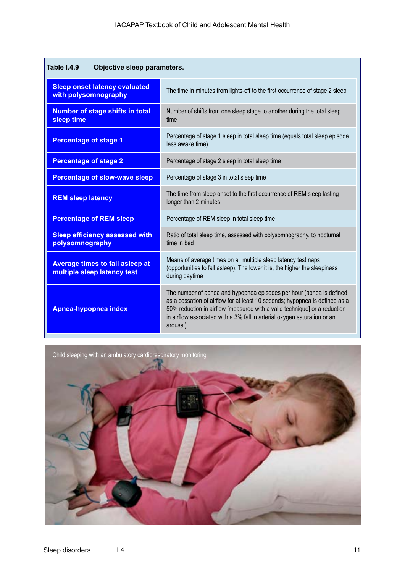| <b>Table I.4.9</b><br>Objective sleep parameters.                     |                                                                                                                                                                                                                                                                                                                          |  |
|-----------------------------------------------------------------------|--------------------------------------------------------------------------------------------------------------------------------------------------------------------------------------------------------------------------------------------------------------------------------------------------------------------------|--|
| <b>Sleep onset latency evaluated</b><br>with polysomnography          | The time in minutes from lights-off to the first occurrence of stage 2 sleep                                                                                                                                                                                                                                             |  |
| <b>Number of stage shifts in total</b><br>sleep time                  | Number of shifts from one sleep stage to another during the total sleep<br>time                                                                                                                                                                                                                                          |  |
| <b>Percentage of stage 1</b>                                          | Percentage of stage 1 sleep in total sleep time (equals total sleep episode<br>less awake time)                                                                                                                                                                                                                          |  |
| <b>Percentage of stage 2</b>                                          | Percentage of stage 2 sleep in total sleep time                                                                                                                                                                                                                                                                          |  |
| <b>Percentage of slow-wave sleep</b>                                  | Percentage of stage 3 in total sleep time                                                                                                                                                                                                                                                                                |  |
| <b>REM sleep latency</b>                                              | The time from sleep onset to the first occurrence of REM sleep lasting<br>longer than 2 minutes                                                                                                                                                                                                                          |  |
| <b>Percentage of REM sleep</b>                                        | Percentage of REM sleep in total sleep time                                                                                                                                                                                                                                                                              |  |
| <b>Sleep efficiency assessed with</b><br>polysomnography              | Ratio of total sleep time, assessed with polysomnography, to nocturnal<br>time in bed                                                                                                                                                                                                                                    |  |
| <b>Average times to fall asleep at</b><br>multiple sleep latency test | Means of average times on all multiple sleep latency test naps<br>(opportunities to fall asleep). The lower it is, the higher the sleepiness<br>during daytime                                                                                                                                                           |  |
| Apnea-hypopnea index                                                  | The number of apnea and hypopnea episodes per hour (apnea is defined<br>as a cessation of airflow for at least 10 seconds; hypopnea is defined as a<br>50% reduction in airflow [measured with a valid technique] or a reduction<br>in airflow associated with a 3% fall in arterial oxygen saturation or an<br>arousal) |  |

Child sleeping with an ambulatory cardiorespiratory monitoring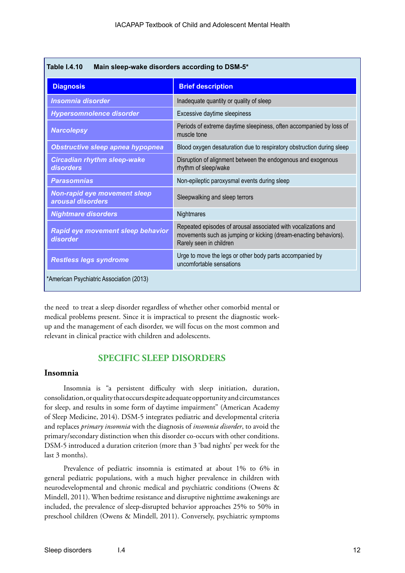| <b>Table I.4.10</b><br>Main sleep-wake disorders according to DSM-5* |                                                                                                                                                               |
|----------------------------------------------------------------------|---------------------------------------------------------------------------------------------------------------------------------------------------------------|
| <b>Diagnosis</b>                                                     | <b>Brief description</b>                                                                                                                                      |
| <b>Insomnia disorder</b>                                             | Inadequate quantity or quality of sleep                                                                                                                       |
| <b>Hypersomnolence disorder</b>                                      | Excessive daytime sleepiness                                                                                                                                  |
| <b>Narcolepsy</b>                                                    | Periods of extreme daytime sleepiness, often accompanied by loss of<br>muscle tone                                                                            |
| <b>Obstructive sleep apnea hypopnea</b>                              | Blood oxygen desaturation due to respiratory obstruction during sleep                                                                                         |
| <b>Circadian rhythm sleep-wake</b><br>disorders                      | Disruption of alignment between the endogenous and exogenous<br>rhythm of sleep/wake                                                                          |
| <b>Parasomnias</b>                                                   | Non-epileptic paroxysmal events during sleep                                                                                                                  |
| <b>Non-rapid eye movement sleep</b><br>arousal disorders             | Sleepwalking and sleep terrors                                                                                                                                |
| <b>Nightmare disorders</b>                                           | Nightmares                                                                                                                                                    |
| Rapid eye movement sleep behavior<br>disorder                        | Repeated episodes of arousal associated with vocalizations and<br>movements such as jumping or kicking (dream-enacting behaviors).<br>Rarely seen in children |
| <b>Restless legs syndrome</b>                                        | Urge to move the legs or other body parts accompanied by<br>uncomfortable sensations                                                                          |
| *American Psychiatric Association (2013)                             |                                                                                                                                                               |

the need to treat a sleep disorder regardless of whether other comorbid mental or medical problems present. Since it is impractical to present the diagnostic workup and the management of each disorder, we will focus on the most common and relevant in clinical practice with children and adolescents.

#### **SPECIFIC SLEEP DISORDERS**

#### **Insomnia**

Insomnia is "a persistent difficulty with sleep initiation, duration, consolidation, or quality that occurs despite adequate opportunity and circumstances for sleep, and results in some form of daytime impairment" (American Academy of Sleep Medicine, 2014). DSM-5 integrates pediatric and developmental criteria and replaces *primary insomnia* with the diagnosis of *insomnia disorder*, to avoid the primary/secondary distinction when this disorder co-occurs with other conditions. DSM-5 introduced a duration criterion (more than 3 'bad nights' per week for the last 3 months).

Prevalence of pediatric insomnia is estimated at about 1% to 6% in general pediatric populations, with a much higher prevalence in children with neurodevelopmental and chronic medical and psychiatric conditions (Owens & Mindell, 2011). When bedtime resistance and disruptive nighttime awakenings are included, the prevalence of sleep-disrupted behavior approaches 25% to 50% in preschool children (Owens & Mindell, 2011). Conversely, psychiatric symptoms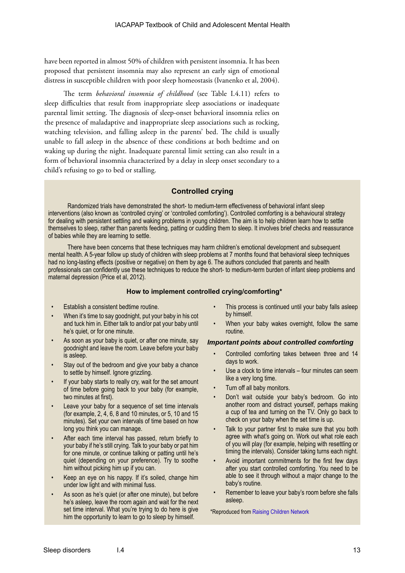have been reported in almost 50% of children with persistent insomnia. It has been proposed that persistent insomnia may also represent an early sign of emotional distress in susceptible children with poor sleep homeostasis (Ivanenko et al, 2004).

The term *behavioral insomnia of childhood* (see Table I.4.11) refers to sleep difficulties that result from inappropriate sleep associations or inadequate parental limit setting. The diagnosis of sleep-onset behavioral insomnia relies on the presence of maladaptive and inappropriate sleep associations such as rocking, watching television, and falling asleep in the parents' bed. The child is usually unable to fall asleep in the absence of these conditions at both bedtime and on waking up during the night. Inadequate parental limit setting can also result in a form of behavioral insomnia characterized by a delay in sleep onset secondary to a child's refusing to go to bed or stalling.

#### **Controlled crying**

Randomized trials have demonstrated the short- to medium-term effectiveness of behavioral infant sleep interventions (also known as 'controlled crying' or 'controlled comforting'). Controlled comforting is a behavioural strategy for dealing with persistent settling and waking problems in young children. The aim is to help children learn how to settle themselves to sleep, rather than parents feeding, patting or cuddling them to sleep. It involves brief checks and reassurance of babies while they are learning to settle.

There have been concerns that these techniques may harm children's emotional development and subsequent mental health. A 5-year follow up study of children with sleep problems at 7 months found that behavioral sleep techniques had no long-lasting effects (positive or negative) on them by age 6. The authors concluded that parents and health professionals can confidently use these techniques to reduce the short- to medium-term burden of infant sleep problems and maternal depression (Price et al, 2012).

#### **How to implement controlled crying/comforting\***

- Establish a consistent bedtime routine.
- When it's time to say goodnight, put your baby in his cot and tuck him in. Either talk to and/or pat your baby until he's quiet, or for one minute.
- As soon as your baby is quiet, or after one minute, say goodnight and leave the room. Leave before your baby is asleep.
- Stay out of the bedroom and give your baby a chance to settle by himself. Ignore grizzling.
- If your baby starts to really cry, wait for the set amount of time before going back to your baby (for example, two minutes at first).
- Leave your baby for a sequence of set time intervals (for example, 2, 4, 6, 8 and 10 minutes, or 5, 10 and 15 minutes). Set your own intervals of time based on how long you think you can manage.
- After each time interval has passed, return briefly to your baby if he's still crying. Talk to your baby or pat him for one minute, or continue talking or patting until he's quiet (depending on your preference). Try to soothe him without picking him up if you can.
- Keep an eye on his nappy. If it's soiled, change him under low light and with minimal fuss.
- As soon as he's quiet (or after one minute), but before he's asleep, leave the room again and wait for the next set time interval. What you're trying to do here is give him the opportunity to learn to go to sleep by himself.
- This process is continued until your baby falls asleep by himself.
- When your baby wakes overnight, follow the same routine.

#### *Important points about controlled comforting*

- Controlled comforting takes between three and 14 days to work.
- Use a clock to time intervals four minutes can seem like a very long time.
- Turn off all baby monitors.
- Don't wait outside your baby's bedroom. Go into another room and distract yourself, perhaps making a cup of tea and turning on the TV. Only go back to check on your baby when the set time is up.
- Talk to your partner first to make sure that you both agree with what's going on. Work out what role each of you will play (for example, helping with resettling or timing the intervals). Consider taking turns each night.
- Avoid important commitments for the first few days after you start controlled comforting. You need to be able to see it through without a major change to the baby's routine.
- Remember to leave your baby's room before she falls asleep.

\*Reproduced from [Raising Children Network](https://raisingchildren.net.au/articles/controlled_comforting.html/context/613)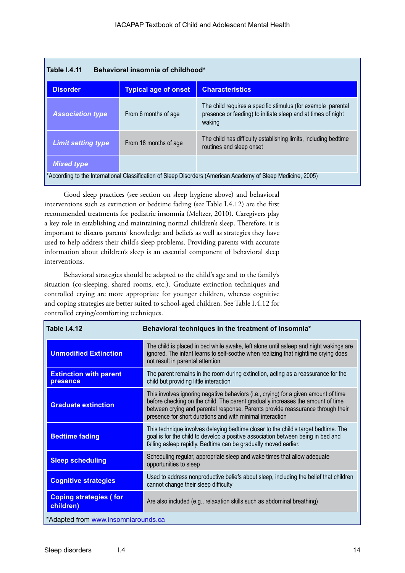| <b>Table 1.4.11</b><br>Behavioral insomnia of childhood*                                                                          |                             |                                                                                                                                        |
|-----------------------------------------------------------------------------------------------------------------------------------|-----------------------------|----------------------------------------------------------------------------------------------------------------------------------------|
| <b>Disorder</b>                                                                                                                   | <b>Typical age of onset</b> | <b>Characteristics</b>                                                                                                                 |
| <b>Association type</b>                                                                                                           | From 6 months of age        | The child requires a specific stimulus (for example parental<br>presence or feeding) to initiate sleep and at times of night<br>waking |
| <b>Limit setting type</b>                                                                                                         | From 18 months of age       | The child has difficulty establishing limits, including bedtime<br>routines and sleep onset                                            |
| <b>Mixed type</b><br>*According to the International Classification of Sleep Disorders (American Academy of Sleep Medicine, 2005) |                             |                                                                                                                                        |

Good sleep practices (see section on sleep hygiene above) and behavioral interventions such as extinction or bedtime fading (see Table I.4.12) are the first recommended treatments for pediatric insomnia (Meltzer, 2010). Caregivers play a key role in establishing and maintaining normal children's sleep. Therefore, it is important to discuss parents' knowledge and beliefs as well as strategies they have used to help address their child's sleep problems. Providing parents with accurate information about children's sleep is an essential component of behavioral sleep interventions.

Behavioral strategies should be adapted to the child's age and to the family's situation (co-sleeping, shared rooms, etc.). Graduate extinction techniques and controlled crying are more appropriate for younger children, whereas cognitive and coping strategies are better suited to school-aged children. See Table I.4.12 for controlled crying/comforting techniques.

| <b>Table I.4.12</b>                        | Behavioral techniques in the treatment of insomnia*                                                                                                                                                                                                                                                                    |
|--------------------------------------------|------------------------------------------------------------------------------------------------------------------------------------------------------------------------------------------------------------------------------------------------------------------------------------------------------------------------|
| <b>Unmodified Extinction</b>               | The child is placed in bed while awake, left alone until asleep and night wakings are<br>ignored. The infant learns to self-soothe when realizing that nighttime crying does<br>not result in parental attention                                                                                                       |
| <b>Extinction with parent</b><br>presence  | The parent remains in the room during extinction, acting as a reassurance for the<br>child but providing little interaction                                                                                                                                                                                            |
| <b>Graduate extinction</b>                 | This involves ignoring negative behaviors (i.e., crying) for a given amount of time<br>before checking on the child. The parent gradually increases the amount of time<br>between crying and parental response. Parents provide reassurance through their<br>presence for short durations and with minimal interaction |
| <b>Bedtime fading</b>                      | This technique involves delaying bedtime closer to the child's target bedtime. The<br>goal is for the child to develop a positive association between being in bed and<br>falling asleep rapidly. Bedtime can be gradually moved earlier.                                                                              |
| <b>Sleep scheduling</b>                    | Scheduling regular, appropriate sleep and wake times that allow adequate<br>opportunities to sleep                                                                                                                                                                                                                     |
| <b>Cognitive strategies</b>                | Used to address nonproductive beliefs about sleep, including the belief that children<br>cannot change their sleep difficulty                                                                                                                                                                                          |
| <b>Coping strategies (for</b><br>children) | Are also included (e.g., relaxation skills such as abdominal breathing)                                                                                                                                                                                                                                                |
| *Adapted from www.insomniarounds.ca        |                                                                                                                                                                                                                                                                                                                        |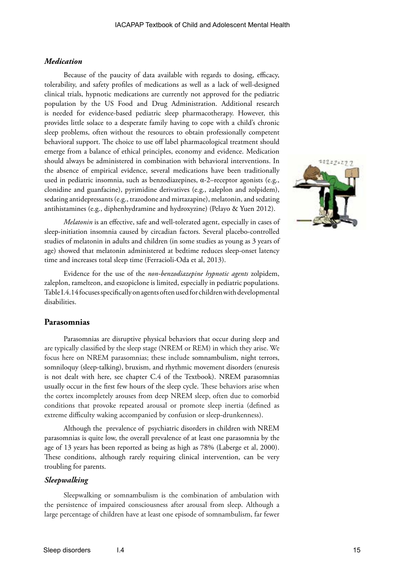#### *Medication*

Because of the paucity of data available with regards to dosing, efficacy, tolerability, and safety profiles of medications as well as a lack of well-designed clinical trials, hypnotic medications are currently not approved for the pediatric population by the US Food and Drug Administration. Additional research is needed for evidence-based pediatric sleep pharmacotherapy. However, this provides little solace to a desperate family having to cope with a child's chronic sleep problems, often without the resources to obtain professionally competent behavioral support. The choice to use off label pharmacological treatment should emerge from a balance of ethical principles, economy and evidence. Medication should always be administered in combination with behavioral interventions. In the absence of empirical evidence, several medications have been traditionally used in pediatric insomnia, such as benzodiazepines, α-2–receptor agonists (e.g., clonidine and guanfacine), pyrimidine derivatives (e.g., zaleplon and zolpidem), sedating antidepressants (e.g., trazodone and mirtazapine), melatonin, and sedating antihistamines (e.g., diphenhydramine and hydroxyzine) (Pelayo & Yuen 2012).

*Melatonin* is an effective, safe and well-tolerated agent, especially in cases of sleep-initiation insomnia caused by circadian factors. Several placebo-controlled studies of melatonin in adults and children (in some studies as young as 3 years of age) showed that melatonin administered at bedtime reduces sleep-onset latency time and increases total sleep time (Ferracioli-Oda et al, 2013).

Evidence for the use of the *non-benzodiazepine hypnotic agents* zolpidem, zaleplon, ramelteon, and eszopiclone is limited, especially in pediatric populations. Table I.4.14 focuses specifically on agents often used for children with developmental disabilities.

#### **Parasomnias**

Parasomnias are disruptive physical behaviors that occur during sleep and are typically classified by the sleep stage (NREM or REM) in which they arise. We focus here on NREM parasomnias; these include somnambulism, night terrors, somniloquy (sleep-talking), bruxism, and rhythmic movement disorders (enuresis is not dealt with here, see chapter C.4 of the Textbook). NREM parasomnias usually occur in the first few hours of the sleep cycle. These behaviors arise when the cortex incompletely arouses from deep NREM sleep, often due to comorbid conditions that provoke repeated arousal or promote sleep inertia (defined as extreme difficulty waking accompanied by confusion or sleep-drunkenness).

Although the prevalence of psychiatric disorders in children with NREM parasomnias is quite low, the overall prevalence of at least one parasomnia by the age of 13 years has been reported as being as high as 78% (Laberge et al, 2000). These conditions, although rarely requiring clinical intervention, can be very troubling for parents.

#### *Sleepwalking*

Sleepwalking or somnambulism is the combination of ambulation with the persistence of impaired consciousness after arousal from sleep. Although a large percentage of children have at least one episode of somnambulism, far fewer

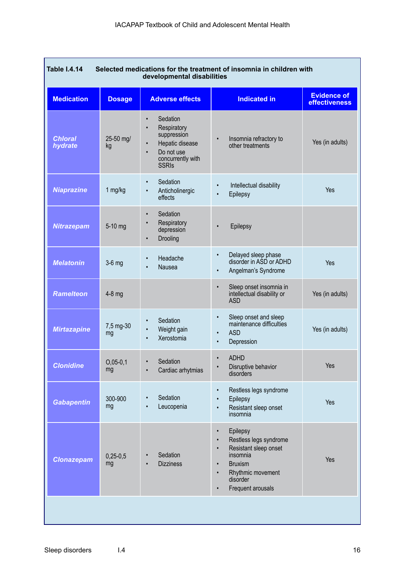| <b>Table I.4.14</b><br>Selected medications for the treatment of insomnia in children with<br>developmental disabilities |                  |                                                                                                                                                                  |                                                                                                                                                                                                                               |                                            |
|--------------------------------------------------------------------------------------------------------------------------|------------------|------------------------------------------------------------------------------------------------------------------------------------------------------------------|-------------------------------------------------------------------------------------------------------------------------------------------------------------------------------------------------------------------------------|--------------------------------------------|
| <b>Medication</b>                                                                                                        | <b>Dosage</b>    | <b>Adverse effects</b>                                                                                                                                           | <b>Indicated in</b>                                                                                                                                                                                                           | <b>Evidence of</b><br><b>effectiveness</b> |
| <b>Chloral</b><br>hydrate                                                                                                | 25-50 mg/<br>kg  | Sedation<br>$\bullet$<br>Respiratory<br>$\bullet$<br>suppression<br>Hepatic disease<br>$\bullet$<br>Do not use<br>$\bullet$<br>concurrently with<br><b>SSRIs</b> | Insomnia refractory to<br>$\bullet$<br>other treatments                                                                                                                                                                       | Yes (in adults)                            |
| <b>Niaprazine</b>                                                                                                        | 1 mg/kg          | Sedation<br>$\bullet$<br>Anticholinergic<br>$\bullet$<br>effects                                                                                                 | Intellectual disability<br>Epilepsy                                                                                                                                                                                           | Yes                                        |
| <b>Nitrazepam</b>                                                                                                        | 5-10 mg          | Sedation<br>$\bullet$<br>Respiratory<br>$\bullet$<br>depression<br>Drooling<br>$\bullet$                                                                         | Epilepsy                                                                                                                                                                                                                      |                                            |
| <b>Melatonin</b>                                                                                                         | $3-6$ mg         | Headache<br>$\bullet$<br>Nausea<br>$\bullet$                                                                                                                     | Delayed sleep phase<br>$\bullet$<br>disorder in ASD or ADHD<br>Angelman's Syndrome<br>$\bullet$                                                                                                                               | Yes                                        |
| <b>Ramelteon</b>                                                                                                         | $4-8$ mg         |                                                                                                                                                                  | Sleep onset insomnia in<br>$\bullet$<br>intellectual disability or<br><b>ASD</b>                                                                                                                                              | Yes (in adults)                            |
| <b>Mirtazapine</b>                                                                                                       | 7,5 mg-30<br>mg  | Sedation<br>$\bullet$<br>Weight gain<br>$\bullet$<br>Xerostomia<br>$\bullet$                                                                                     | Sleep onset and sleep<br>$\bullet$<br>maintenance difficulties<br><b>ASD</b><br>$\bullet$<br>Depression<br>$\bullet$                                                                                                          | Yes (in adults)                            |
| <b>Clonidine</b>                                                                                                         | $O,05-0,1$<br>mg | Sedation<br>Cardiac arhytmias<br>$\bullet$                                                                                                                       | <b>ADHD</b><br>$\bullet$<br>Disruptive behavior<br>$\bullet$<br>disorders                                                                                                                                                     | Yes                                        |
| <b>Gabapentin</b>                                                                                                        | 300-900<br>mg    | Sedation<br>Leucopenia                                                                                                                                           | Restless legs syndrome<br>$\bullet$<br>Epilepsy<br>٠<br>Resistant sleep onset<br>$\bullet$<br>insomnia                                                                                                                        | Yes                                        |
| <b>Clonazepam</b>                                                                                                        | $0,25-0,5$<br>mg | Sedation<br><b>Dizziness</b>                                                                                                                                     | Epilepsy<br>$\bullet$<br>Restless legs syndrome<br>$\bullet$<br>Resistant sleep onset<br>$\bullet$<br>insomnia<br><b>Bruxism</b><br>$\bullet$<br>Rhythmic movement<br>$\bullet$<br>disorder<br>Frequent arousals<br>$\bullet$ | Yes                                        |
|                                                                                                                          |                  |                                                                                                                                                                  |                                                                                                                                                                                                                               |                                            |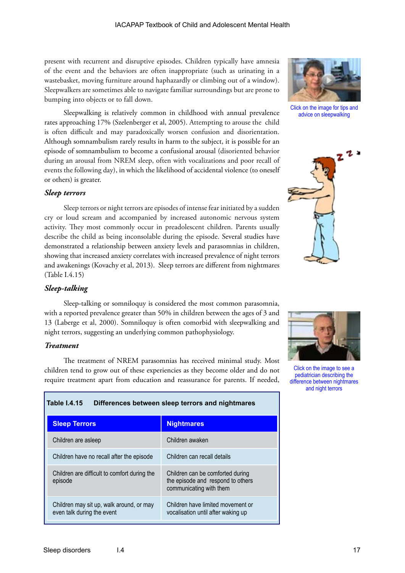present with recurrent and disruptive episodes. Children typically have amnesia of the event and the behaviors are often inappropriate (such as urinating in a wastebasket, moving furniture around haphazardly or climbing out of a window). Sleepwalkers are sometimes able to navigate familiar surroundings but are prone to bumping into objects or to fall down.

Sleepwalking is relatively common in childhood with annual prevalence rates approaching 17% (Szelenberger et al, 2005). Attempting to arouse the child is often difficult and may paradoxically worsen confusion and disorientation. Although somnambulism rarely results in harm to the subject, it is possible for an episode of somnambulism to become a confusional arousal (disoriented behavior during an arousal from NREM sleep, often with vocalizations and poor recall of events the following day), in which the likelihood of accidental violence (to oneself or others) is greater.

#### *Sleep terrors*

Sleep terrors or night terrors are episodes of intense fear initiated by a sudden cry or loud scream and accompanied by increased autonomic nervous system activity. They most commonly occur in preadolescent children. Parents usually describe the child as being inconsolable during the episode. Several studies have demonstrated a relationship between anxiety levels and parasomnias in children, showing that increased anxiety correlates with increased prevalence of night terrors and awakenings (Kovachy et al, 2013). Sleep terrors are different from nightmares (Table I.4.15)

#### *Sleep-talking*

Sleep-talking or somniloquy is considered the most common parasomnia, with a reported prevalence greater than 50% in children between the ages of 3 and 13 (Laberge et al, 2000). Somniloquy is often comorbid with sleepwalking and night terrors, suggesting an underlying common pathophysiology.

#### *Treatment*

The treatment of NREM parasomnias has received minimal study. Most children tend to grow out of these experiencies as they become older and do not require treatment apart from education and reassurance for parents. If needed,

**Table I.4.15 Differences between sleep terrors and nightmares**

| <b>Sleep Terrors</b>                                                   | <b>Nightmares</b>                                                                                |
|------------------------------------------------------------------------|--------------------------------------------------------------------------------------------------|
| Children are asleep                                                    | Children awaken                                                                                  |
| Children have no recall after the episode                              | Children can recall details                                                                      |
| Children are difficult to comfort during the<br>episode                | Children can be comforted during<br>the episode and respond to others<br>communicating with them |
| Children may sit up, walk around, or may<br>even talk during the event | Children have limited movement or<br>vocalisation until after waking up                          |



Click on the image for tips and advice on sleepwalking





Click on the image to see a pediatrician describing the difference between nightmares and night terrors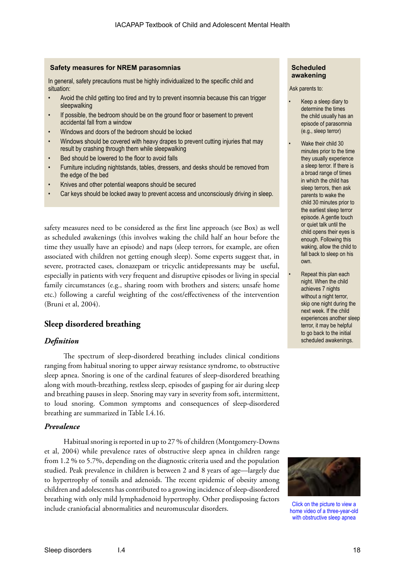#### **Safety measures for NREM parasomnias**

In general, safety precautions must be highly individualized to the specific child and situation:

- Avoid the child getting too tired and try to prevent insomnia because this can trigger sleepwalking
- If possible, the bedroom should be on the ground floor or basement to prevent accidental fall from a window
- Windows and doors of the bedroom should be locked
- Windows should be covered with heavy drapes to prevent cutting injuries that may result by crashing through them while sleepwalking
- Bed should be lowered to the floor to avoid falls
- Furniture including nightstands, tables, dressers, and desks should be removed from the edge of the bed
- Knives and other potential weapons should be secured
- Car keys should be locked away to prevent access and unconsciously driving in sleep.

safety measures need to be considered as the first line approach (see Box) as well as scheduled awakenings (this involves waking the child half an hour before the time they usually have an episode) and naps (sleep terrors, for example, are often associated with children not getting enough sleep). Some experts suggest that, in severe, protracted cases, clonazepam or tricyclic antidepressants may be useful, especially in patients with very frequent and disruptive episodes or living in special family circumstances (e.g., sharing room with brothers and sisters; unsafe home etc.) following a careful weighting of the cost/effectiveness of the intervention (Bruni et al, 2004).

#### **Sleep disordered breathing**

#### *Definition*

The spectrum of sleep-disordered breathing includes clinical conditions ranging from habitual snoring to upper airway resistance syndrome, to obstructive sleep apnea. Snoring is one of the cardinal features of sleep-disordered breathing along with mouth-breathing, restless sleep, episodes of gasping for air during sleep and breathing pauses in sleep. Snoring may vary in severity from soft, intermittent, to loud snoring. Common symptoms and consequences of sleep-disordered breathing are summarized in Table I.4.16.

#### *Prevalence*

Habitual snoring is reported in up to 27 % of children (Montgomery-Downs et al, 2004) while prevalence rates of obstructive sleep apnea in children range from 1.2 % to 5.7%, depending on the diagnostic criteria used and the population studied. Peak prevalence in children is between 2 and 8 years of age—largely due to hypertrophy of tonsils and adenoids. The recent epidemic of obesity among children and adolescents has contributed to a growing incidence of sleep-disordered breathing with only mild lymphadenoid hypertrophy. Other predisposing factors include craniofacial abnormalities and neuromuscular disorders.

#### **Scheduled awakening**

Ask parents to:

- Keep a sleep diary to determine the times the child usually has an episode of parasomnia (e.g., sleep terror)
- Wake their child 30 minutes prior to the time they usually experience a sleep terror. If there is a broad range of times in which the child has sleep terrors, then ask parents to wake the child 30 minutes prior to the earliest sleep terror episode. A gentle touch or quiet talk until the child opens their eyes is enough. Following this waking, allow the child to fall back to sleep on his own.

Repeat this plan each night. When the child achieves 7 nights without a night terror, skip one night during the next week. If the child experiences another sleep terror, it may be helpful to go back to the initial scheduled awakenings.



Click on the picture to view a home video of a three-year-old with obstructive sleep apnea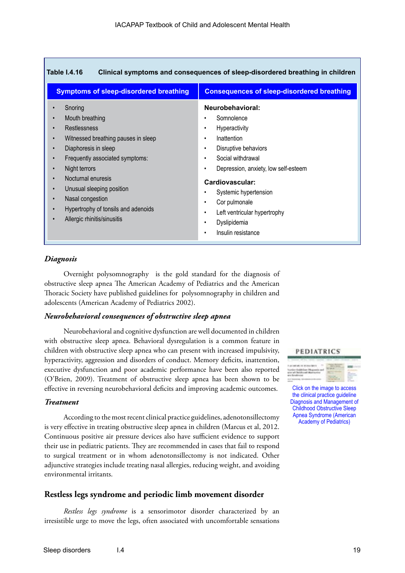| <b>Table 1.4.16</b><br>Clinical symptoms and consequences of sleep-disordered breathing in children                                                                                                                                                                                                                                                                                                                                                       |                                                                                                                                                                                                                                                                                                                                              |  |  |  |
|-----------------------------------------------------------------------------------------------------------------------------------------------------------------------------------------------------------------------------------------------------------------------------------------------------------------------------------------------------------------------------------------------------------------------------------------------------------|----------------------------------------------------------------------------------------------------------------------------------------------------------------------------------------------------------------------------------------------------------------------------------------------------------------------------------------------|--|--|--|
| <b>Symptoms of sleep-disordered breathing</b>                                                                                                                                                                                                                                                                                                                                                                                                             | <b>Consequences of sleep-disordered breathing</b>                                                                                                                                                                                                                                                                                            |  |  |  |
| Snoring<br>Mouth breathing<br>$\bullet$<br>Restlessness<br>$\bullet$<br>Witnessed breathing pauses in sleep<br>$\bullet$<br>Diaphoresis in sleep<br>$\bullet$<br>Frequently associated symptoms:<br>$\bullet$<br>Night terrors<br>$\bullet$<br>Nocturnal enuresis<br>$\bullet$<br>Unusual sleeping position<br>$\bullet$<br>Nasal congestion<br>$\bullet$<br>Hypertrophy of tonsils and adenoids<br>$\bullet$<br>Allergic rhinitis/sinusitis<br>$\bullet$ | Neurobehavioral:<br>Somnolence<br>Hyperactivity<br>٠<br>Inattention<br>٠<br>Disruptive behaviors<br>$\bullet$<br>Social withdrawal<br>Depression, anxiety, low self-esteem<br>Cardiovascular:<br>Systemic hypertension<br>Cor pulmonale<br>٠<br>Left ventricular hypertrophy<br>$\bullet$<br>Dyslipidemia<br>Insulin resistance<br>$\bullet$ |  |  |  |

#### *Diagnosis*

Overnight polysomnography is the gold standard for the diagnosis of obstructive sleep apnea The American Academy of Pediatrics and the American Thoracic Society have published guidelines for polysomnography in children and adolescents (American Academy of Pediatrics 2002).

#### *Neurobehavioral consequences of obstructive sleep apnea*

Neurobehavioral and cognitive dysfunction are well documented in children with obstructive sleep apnea. Behavioral dysregulation is a common feature in children with obstructive sleep apnea who can present with increased impulsivity, hyperactivity, aggression and disorders of conduct. Memory deficits, inattention, executive dysfunction and poor academic performance have been also reported (O'Brien, 2009). Treatment of obstructive sleep apnea has been shown to be effective in reversing neurobehavioral deficits and improving academic outcomes.

#### *Treatment*

According to the most recent clinical practice guidelines, adenotonsillectomy is very effective in treating obstructive sleep apnea in children (Marcus et al, 2012. Continuous positive air pressure devices also have sufficient evidence to support their use in pediatric patients. They are recommended in cases that fail to respond to surgical treatment or in whom adenotonsillectomy is not indicated. Other adjunctive strategies include treating nasal allergies, reducing weight, and avoiding environmental irritants.

#### **Restless legs syndrome and periodic limb movement disorder**

*Restless legs syndrome* is a sensorimotor disorder characterized by an irresistible urge to move the legs, often associated with uncomfortable sensations

#### PEDIATRICS



Click on the image to access the clinical practice guideline Diagnosis and Management of Childhood Obstructive Sleep Apnea Syndrome (American Academy of Pediatrics)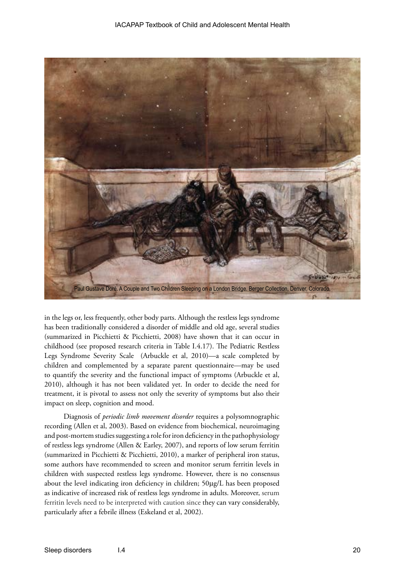

in the legs or, less frequently, other body parts. Although the restless legs syndrome has been traditionally considered a disorder of middle and old age, several studies (summarized in Picchietti & Picchietti, 2008) have shown that it can occur in childhood (see proposed research criteria in Table I.4.17). The Pediatric Restless Legs Syndrome Severity Scale (Arbuckle et al, 2010)—a scale completed by children and complemented by a separate parent questionnaire—may be used to quantify the severity and the functional impact of symptoms (Arbuckle et al, 2010), although it has not been validated yet. In order to decide the need for treatment, it is pivotal to assess not only the severity of symptoms but also their impact on sleep, cognition and mood.

Diagnosis of *periodic limb movement disorder* requires a polysomnographic recording (Allen et al, 2003). Based on evidence from biochemical, neuroimaging and post-mortem studies suggesting a role for iron deficiency in the pathophysiology of restless legs syndrome (Allen & Earley, 2007), and reports of low serum ferritin (summarized in Picchietti & Picchietti, 2010), a marker of peripheral iron status, some authors have recommended to screen and monitor serum ferritin levels in children with suspected restless legs syndrome. However, there is no consensus about the level indicating iron deficiency in children; 50µg/L has been proposed as indicative of increased risk of restless legs syndrome in adults. Moreover, serum ferritin levels need to be interpreted with caution since they can vary considerably, particularly after a febrile illness (Eskeland et al, 2002).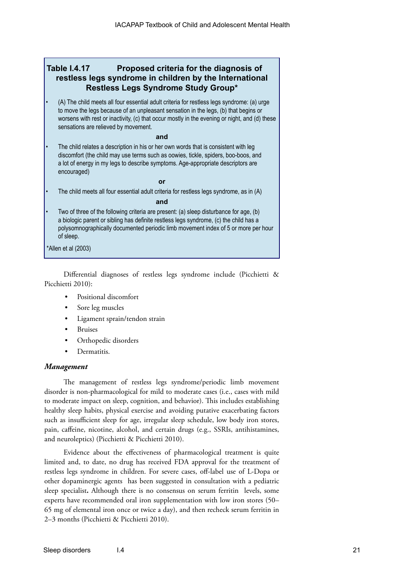#### **Table I.4.17 Proposed criteria for the diagnosis of restless legs syndrome in children by the International Restless Legs Syndrome Study Group\***

• (A) The child meets all four essential adult criteria for restless legs syndrome: (a) urge to move the legs because of an unpleasant sensation in the legs, (b) that begins or worsens with rest or inactivity, (c) that occur mostly in the evening or night, and (d) these sensations are relieved by movement.

#### **and**

The child relates a description in his or her own words that is consistent with leg discomfort (the child may use terms such as oowies, tickle, spiders, boo-boos, and a lot of energy in my legs to describe symptoms. Age-appropriate descriptors are encouraged)

#### **or**

The child meets all four essential adult criteria for restless legs syndrome, as in (A)

#### **and**

• Two of three of the following criteria are present: (a) sleep disturbance for age, (b) a biologic parent or sibling has definite restless legs syndrome, (c) the child has a polysomnographically documented periodic limb movement index of 5 or more per hour of sleep.

\*Allen et al (2003)

Differential diagnoses of restless legs syndrome include (Picchietti & Picchietti 2010):

- Positional discomfort
- Sore leg muscles
- Ligament sprain/tendon strain
- **Bruises**
- Orthopedic disorders
- Dermatitis.

#### *Management*

The management of restless legs syndrome/periodic limb movement disorder is non-pharmacological for mild to moderate cases (i.e., cases with mild to moderate impact on sleep, cognition, and behavior). This includes establishing healthy sleep habits, physical exercise and avoiding putative exacerbating factors such as insufficient sleep for age, irregular sleep schedule, low body iron stores, pain, caffeine, nicotine, alcohol, and certain drugs (e.g., SSRIs, antihistamines, and neuroleptics) (Picchietti & Picchietti 2010).

Evidence about the effectiveness of pharmacological treatment is quite limited and, to date, no drug has received FDA approval for the treatment of restless legs syndrome in children. For severe cases, off-label use of L-Dopa or other dopaminergic agents has been suggested in consultation with a pediatric sleep specialist**.** Although there is no consensus on serum ferritin levels, some experts have recommended oral iron supplementation with low iron stores (50– 65 mg of elemental iron once or twice a day), and then recheck serum ferritin in 2–3 months (Picchietti & Picchietti 2010).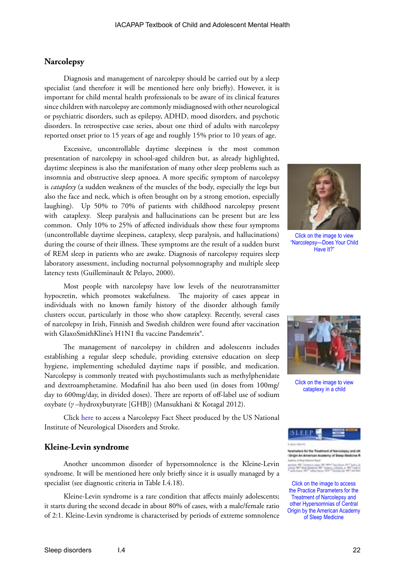#### **Narcolepsy**

Diagnosis and management of narcolepsy should be carried out by a sleep specialist (and therefore it will be mentioned here only briefly). However, it is important for child mental health professionals to be aware of its clinical features since children with narcolepsy are commonly misdiagnosed with other neurological or psychiatric disorders, such as epilepsy, ADHD, mood disorders, and psychotic disorders. In retrospective case series, about one third of adults with narcolepsy reported onset prior to 15 years of age and roughly 15% prior to 10 years of age.

Excessive, uncontrollable daytime sleepiness is the most common presentation of narcolepsy in school-aged children but, as already highlighted, daytime sleepiness is also the manifestation of many other sleep problems such as insomnia and obstructive sleep apnoea. A more specific symptom of narcolepsy is *cataplexy* (a sudden weakness of the muscles of the body, especially the legs but also the face and neck, which is often brought on by a strong emotion, especially laughing). Up 50% to 70% of patients with childhood narcolepsy present with cataplexy. Sleep paralysis and hallucinations can be present but are less common. Only 10% to 25% of affected individuals show these four symptoms (uncontrollable daytime sleepiness, cataplexy, sleep paralysis, and hallucinations) during the course of their illness. These symptoms are the result of a sudden burst of REM sleep in patients who are awake. Diagnosis of narcolepsy requires sleep laboratory assessment, including nocturnal polysomnography and multiple sleep latency tests (Guilleminault & Pelayo, 2000).

Most people with narcolepsy have low levels of the neurotransmitter hypocretin, which promotes wakefulness. The majority of cases appear in individuals with no known family history of the disorder although family clusters occur, particularly in those who show cataplexy. Recently, several cases of narcolepsy in Irish, Finnish and Swedish children were found after vaccination with GlaxoSmithKline's H1N1 flu vaccine Pandemrix<sup>®</sup>.

The management of narcolepsy in children and adolescents includes establishing a regular sleep schedule, providing extensive education on sleep hygiene, implementing scheduled daytime naps if possible, and medication. Narcolepsy is commonly treated with psychostimulants such as methylphenidate and dextroamphetamine. Modafinil has also been used (in doses from 100mg/ day to 600mg/day, in divided doses). There are reports of off-label use of sodium oxybate (*γ* –hydroxybutyrate [GHB]) (Mansukhani & Kotagal 2012).

Click [here](http://www.ninds.nih.gov/disorders/narcolepsy/detail_narcolepsy.htm) to access a Narcolepsy Fact Sheet produced by the US National Institute of Neurological Disorders and Stroke.

#### **Kleine-Levin syndrome**

Another uncommon disorder of hypersomnolence is the Kleine-Levin syndrome. It will be mentioned here only briefly since it is usually managed by a specialist (see diagnostic criteria in Table I.4.18).

Kleine-Levin syndrome is a rare condition that affects mainly adolescents; it starts during the second decade in about 80% of cases, with a male/female ratio of 2:1. Kleine-Levin syndrome is characterised by periods of extreme somnolence



Click on the image to view "Narcolepsy—Does Your Child Have It?"



Click on the image to view cataplexy in a child



**Origin An American Academy of Sixer** 

Links MD - Andrews<br>And Theory (1976)

Click on the image to access the Practice Parameters for the Treatment of Narcolepsy and other Hypersomnias of Central Origin by the American Academy of Sleep Medicine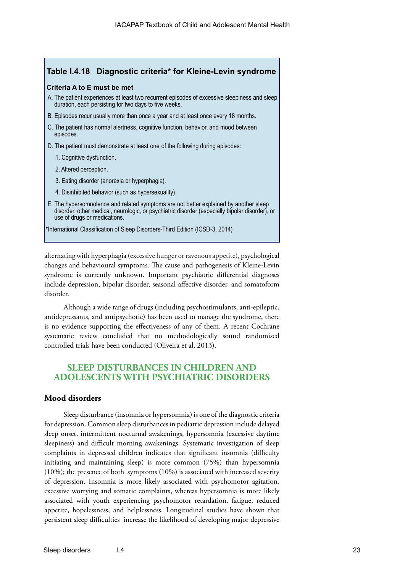#### **Table I.4.18 Diagnostic criteria\* for Kleine-Levin syndrome**

#### **Criteria A to E must be met**

- A. The patient experiences at least two recurrent episodes of excessive sleepiness and sleep duration, each persisting for two days to five weeks.
- B. Episodes recur usually more than once a year and at least once every 18 months.
- C. The patient has normal alertness, cognitive function, behavior, and mood between episodes.
- D. The patient must demonstrate at least one of the following during episodes:
	- 1. Cognitive dysfunction.
	- 2. Altered perception.
	- 3. Eating disorder (anorexia or hyperphagia).
	- 4. Disinhibited behavior (such as hypersexuality).
- E. The hypersomnolence and related symptoms are not better explained by another sleep disorder, other medical, neurologic, or psychiatric disorder (especially bipolar disorder), or use of drugs or medications.

\*International Classification of Sleep Disorders-Third Edition (ICSD-3, 2014)

alternating with hyperphagia (excessive hunger or ravenous appetite), psychological changes and behavioural symptoms. The cause and pathogenesis of Kleine-Levin syndrome is currently unknown. Important psychiatric differential diagnoses include depression, bipolar disorder, seasonal affective disorder, and somatoform disorder.

Although a wide range of drugs (including psychostimulants, anti-epileptic, antidepressants, and antipsychotic) has been used to manage the syndrome, there is no evidence supporting the effectiveness of any of them. A recent Cochrane systematic review concluded that no methodologically sound randomised controlled trials have been conducted (Oliveira et al, 2013).

#### **SLEEP DISTURBANCES IN CHILDREN AND ADOLESCENTS WITH PSYCHIATRIC DISORDERS**

#### **Mood disorders**

Sleep disturbance (insomnia or hypersomnia) is one of the diagnostic criteria for depression. Common sleep disturbances in pediatric depression include delayed sleep onset, intermittent nocturnal awakenings, hypersomnia (excessive daytime sleepiness) and difficult morning awakenings. Systematic investigation of sleep complaints in depressed children indicates that significant insomnia (difficulty initiating and maintaining sleep) is more common (75%) than hypersomnia (10%); the presence of both symptoms (10%) is associated with increased severity of depression. Insomnia is more likely associated with psychomotor agitation, excessive worrying and somatic complaints, whereas hypersomnia is more likely associated with youth experiencing psychomotor retardation, fatigue, reduced appetite, hopelessness, and helplessness. Longitudinal studies have shown that persistent sleep difficulties increase the likelihood of developing major depressive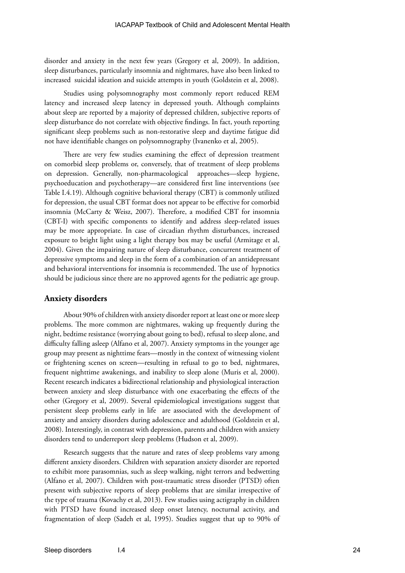disorder and anxiety in the next few years (Gregory et al, 2009). In addition, sleep disturbances, particularly insomnia and nightmares, have also been linked to increased suicidal ideation and suicide attempts in youth (Goldstein et al, 2008).

Studies using polysomnography most commonly report reduced REM latency and increased sleep latency in depressed youth. Although complaints about sleep are reported by a majority of depressed children, subjective reports of sleep disturbance do not correlate with objective findings. In fact, youth reporting significant sleep problems such as non-restorative sleep and daytime fatigue did not have identifiable changes on polysomnography (Ivanenko et al, 2005).

There are very few studies examining the effect of depression treatment on comorbid sleep problems or, conversely, that of treatment of sleep problems on depression. Generally, non-pharmacological approaches—sleep hygiene, psychoeducation and psychotherapy—are considered first line interventions (see Table I.4.19). Although cognitive behavioral therapy (CBT) is commonly utilized for depression, the usual CBT format does not appear to be effective for comorbid insomnia (McCarty & Weisz, 2007). Therefore, a modified CBT for insomnia (CBT-I) with specific components to identify and address sleep-related issues may be more appropriate. In case of circadian rhythm disturbances, increased exposure to bright light using a light therapy box may be useful (Armitage et al, 2004). Given the impairing nature of sleep disturbance, concurrent treatment of depressive symptoms and sleep in the form of a combination of an antidepressant and behavioral interventions for insomnia is recommended. The use of hypnotics should be judicious since there are no approved agents for the pediatric age group.

#### **Anxiety disorders**

About 90% of children with anxiety disorder report at least one or more sleep problems. The more common are nightmares, waking up frequently during the night, bedtime resistance (worrying about going to bed), refusal to sleep alone, and difficulty falling asleep (Alfano et al, 2007). Anxiety symptoms in the younger age group may present as nighttime fears—mostly in the context of witnessing violent or frightening scenes on screen—resulting in refusal to go to bed, nightmares, frequent nighttime awakenings, and inability to sleep alone (Muris et al, 2000). Recent research indicates a bidirectional relationship and physiological interaction between anxiety and sleep disturbance with one exacerbating the effects of the other (Gregory et al, 2009). Several epidemiological investigations suggest that persistent sleep problems early in life are associated with the development of anxiety and anxiety disorders during adolescence and adulthood (Goldstein et al, 2008). Interestingly, in contrast with depression, parents and children with anxiety disorders tend to underreport sleep problems (Hudson et al, 2009).

Research suggests that the nature and rates of sleep problems vary among different anxiety disorders. Children with separation anxiety disorder are reported to exhibit more parasomnias, such as sleep walking, night terrors and bedwetting (Alfano et al, 2007). Children with post-traumatic stress disorder (PTSD) often present with subjective reports of sleep problems that are similar irrespective of the type of trauma (Kovachy et al, 2013). Few studies using actigraphy in children with PTSD have found increased sleep onset latency, nocturnal activity, and fragmentation of sleep (Sadeh et al, 1995). Studies suggest that up to 90% of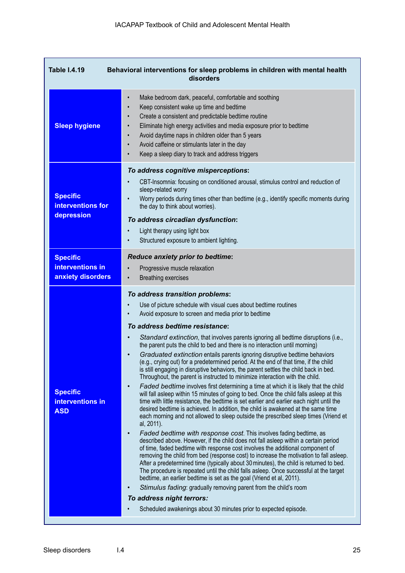| Behavioral interventions for sleep problems in children with mental health<br><b>Table I.4.19</b><br>disorders |                                                                                                                                                                                                                                                                                                                                                                                                                                                                                                                                                                                                                                                                                                                                                                                                                                                                                                                                                                                                                                                                                                                                                                                                                                                                                                                                                                                                                                                                                                                                                                                                                                                                                                                                                                                                                                                                                                                                                                                                        |  |  |  |
|----------------------------------------------------------------------------------------------------------------|--------------------------------------------------------------------------------------------------------------------------------------------------------------------------------------------------------------------------------------------------------------------------------------------------------------------------------------------------------------------------------------------------------------------------------------------------------------------------------------------------------------------------------------------------------------------------------------------------------------------------------------------------------------------------------------------------------------------------------------------------------------------------------------------------------------------------------------------------------------------------------------------------------------------------------------------------------------------------------------------------------------------------------------------------------------------------------------------------------------------------------------------------------------------------------------------------------------------------------------------------------------------------------------------------------------------------------------------------------------------------------------------------------------------------------------------------------------------------------------------------------------------------------------------------------------------------------------------------------------------------------------------------------------------------------------------------------------------------------------------------------------------------------------------------------------------------------------------------------------------------------------------------------------------------------------------------------------------------------------------------------|--|--|--|
| <b>Sleep hygiene</b>                                                                                           | Make bedroom dark, peaceful, comfortable and soothing<br>$\bullet$<br>Keep consistent wake up time and bedtime<br>Create a consistent and predictable bedtime routine<br>Eliminate high energy activities and media exposure prior to bedtime<br>Avoid daytime naps in children older than 5 years<br>Avoid caffeine or stimulants later in the day<br>Keep a sleep diary to track and address triggers                                                                                                                                                                                                                                                                                                                                                                                                                                                                                                                                                                                                                                                                                                                                                                                                                                                                                                                                                                                                                                                                                                                                                                                                                                                                                                                                                                                                                                                                                                                                                                                                |  |  |  |
| <b>Specific</b><br>interventions for<br>depression                                                             | To address cognitive misperceptions:<br>CBT-Insomnia: focusing on conditioned arousal, stimulus control and reduction of<br>sleep-related worry<br>Worry periods during times other than bedtime (e.g., identify specific moments during<br>the day to think about worries).<br>To address circadian dysfunction:<br>Light therapy using light box<br>Structured exposure to ambient lighting.                                                                                                                                                                                                                                                                                                                                                                                                                                                                                                                                                                                                                                                                                                                                                                                                                                                                                                                                                                                                                                                                                                                                                                                                                                                                                                                                                                                                                                                                                                                                                                                                         |  |  |  |
| <b>Specific</b><br>interventions in<br>anxiety disorders                                                       | <b>Reduce anxiety prior to bedtime:</b><br>Progressive muscle relaxation<br><b>Breathing exercises</b><br>$\bullet$                                                                                                                                                                                                                                                                                                                                                                                                                                                                                                                                                                                                                                                                                                                                                                                                                                                                                                                                                                                                                                                                                                                                                                                                                                                                                                                                                                                                                                                                                                                                                                                                                                                                                                                                                                                                                                                                                    |  |  |  |
| <b>Specific</b><br>interventions in<br><b>ASD</b>                                                              | To address transition problems:<br>Use of picture schedule with visual cues about bedtime routines<br>Avoid exposure to screen and media prior to bedtime<br>To address bedtime resistance:<br>Standard extinction, that involves parents ignoring all bedtime disruptions (i.e.,<br>the parent puts the child to bed and there is no interaction until morning)<br>Graduated extinction entails parents ignoring disruptive bedtime behaviors<br>$\bullet$<br>(e.g., crying out) for a predetermined period. At the end of that time, if the child<br>is still engaging in disruptive behaviors, the parent settles the child back in bed.<br>Throughout, the parent is instructed to minimize interaction with the child.<br>Faded bedtime involves first determining a time at which it is likely that the child<br>$\bullet$<br>will fall asleep within 15 minutes of going to bed. Once the child falls asleep at this<br>time with little resistance, the bedtime is set earlier and earlier each night until the<br>desired bedtime is achieved. In addition, the child is awakened at the same time<br>each morning and not allowed to sleep outside the prescribed sleep times (Vriend et<br>al, 2011).<br>Faded bedtime with response cost. This involves fading bedtime, as<br>$\bullet$<br>described above. However, if the child does not fall asleep within a certain period<br>of time, faded bedtime with response cost involves the additional component of<br>removing the child from bed (response cost) to increase the motivation to fall asleep.<br>After a predetermined time (typically about 30 minutes), the child is returned to bed.<br>The procedure is repeated until the child falls asleep. Once successful at the target<br>bedtime, an earlier bedtime is set as the goal (Vriend et al, 2011).<br>Stimulus fading: gradually removing parent from the child's room<br>To address night terrors:<br>Scheduled awakenings about 30 minutes prior to expected episode. |  |  |  |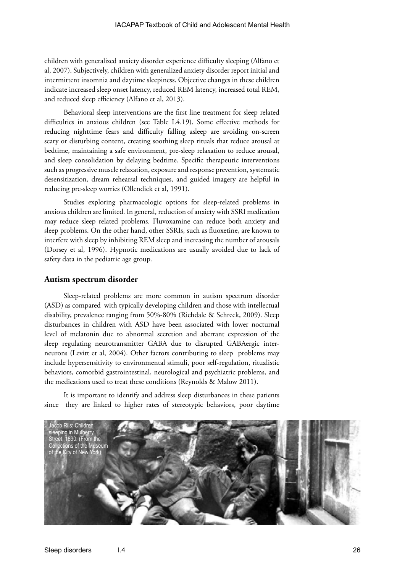children with generalized anxiety disorder experience difficulty sleeping (Alfano et al, 2007). Subjectively, children with generalized anxiety disorder report initial and intermittent insomnia and daytime sleepiness. Objective changes in these children indicate increased sleep onset latency, reduced REM latency, increased total REM, and reduced sleep efficiency (Alfano et al, 2013).

Behavioral sleep interventions are the first line treatment for sleep related difficulties in anxious children (see Table I.4.19). Some effective methods for reducing nighttime fears and difficulty falling asleep are avoiding on-screen scary or disturbing content, creating soothing sleep rituals that reduce arousal at bedtime, maintaining a safe environment, pre-sleep relaxation to reduce arousal, and sleep consolidation by delaying bedtime. Specific therapeutic interventions such as progressive muscle relaxation, exposure and response prevention, systematic desensitization, dream rehearsal techniques, and guided imagery are helpful in reducing pre-sleep worries (Ollendick et al, 1991).

Studies exploring pharmacologic options for sleep-related problems in anxious children are limited. In general, reduction of anxiety with SSRI medication may reduce sleep related problems. Fluvoxamine can reduce both anxiety and sleep problems. On the other hand, other SSRIs, such as fluoxetine, are known to interfere with sleep by inhibiting REM sleep and increasing the number of arousals (Dorsey et al, 1996). Hypnotic medications are usually avoided due to lack of safety data in the pediatric age group.

#### **Autism spectrum disorder**

Sleep-related problems are more common in autism spectrum disorder (ASD) as compared with typically developing children and those with intellectual disability, prevalence ranging from 50%-80% (Richdale & Schreck, 2009). Sleep disturbances in children with ASD have been associated with lower nocturnal level of melatonin due to abnormal secretion and aberrant expression of the sleep regulating neurotransmitter GABA due to disrupted GABAergic interneurons (Levitt et al, 2004). Other factors contributing to sleep problems may include hypersensitivity to environmental stimuli, poor self-regulation, ritualistic behaviors, comorbid gastrointestinal, neurological and psychiatric problems, and the medications used to treat these conditions (Reynolds & Malow 2011).

It is important to identify and address sleep disturbances in these patients since they are linked to higher rates of stereotypic behaviors, poor daytime

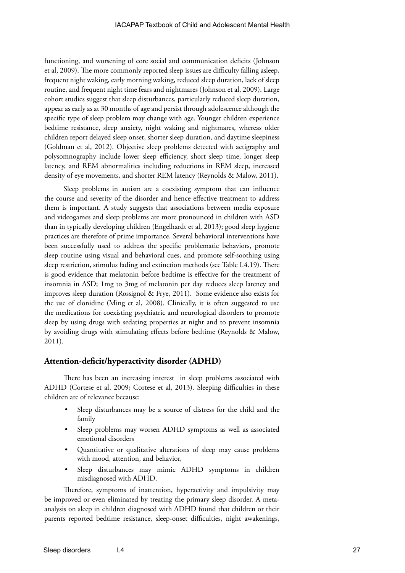functioning, and worsening of core social and communication deficits (Johnson et al, 2009). The more commonly reported sleep issues are difficulty falling asleep, frequent night waking, early morning waking, reduced sleep duration, lack of sleep routine, and frequent night time fears and nightmares (Johnson et al, 2009). Large cohort studies suggest that sleep disturbances, particularly reduced sleep duration, appear as early as at 30 months of age and persist through adolescence although the specific type of sleep problem may change with age. Younger children experience bedtime resistance, sleep anxiety, night waking and nightmares, whereas older children report delayed sleep onset, shorter sleep duration, and daytime sleepiness (Goldman et al, 2012). Objective sleep problems detected with actigraphy and polysomnography include lower sleep efficiency, short sleep time, longer sleep latency, and REM abnormalities including reductions in REM sleep, increased density of eye movements, and shorter REM latency (Reynolds & Malow, 2011).

Sleep problems in autism are a coexisting symptom that can influence the course and severity of the disorder and hence effective treatment to address them is important. A study suggests that associations between media exposure and videogames and sleep problems are more pronounced in children with ASD than in typically developing children (Engelhardt et al, 2013); good sleep hygiene practices are therefore of prime importance. Several behavioral interventions have been successfully used to address the specific problematic behaviors, promote sleep routine using visual and behavioral cues, and promote self-soothing using sleep restriction, stimulus fading and extinction methods (see Table I.4.19). There is good evidence that melatonin before bedtime is effective for the treatment of insomnia in ASD; 1mg to 3mg of melatonin per day reduces sleep latency and improves sleep duration (Rossignol & Frye, 2011). Some evidence also exists for the use of clonidine (Ming et al, 2008). Clinically, it is often suggested to use the medications for coexisting psychiatric and neurological disorders to promote sleep by using drugs with sedating properties at night and to prevent insomnia by avoiding drugs with stimulating effects before bedtime (Reynolds & Malow, 2011).

#### **Attention-deficit/hyperactivity disorder (ADHD)**

There has been an increasing interest in sleep problems associated with ADHD (Cortese et al, 2009; Cortese et al, 2013). Sleeping difficulties in these children are of relevance because:

- Sleep disturbances may be a source of distress for the child and the family
- Sleep problems may worsen ADHD symptoms as well as associated emotional disorders
- Quantitative or qualitative alterations of sleep may cause problems with mood, attention, and behavior,
- Sleep disturbances may mimic ADHD symptoms in children misdiagnosed with ADHD.

Therefore, symptoms of inattention, hyperactivity and impulsivity may be improved or even eliminated by treating the primary sleep disorder. A metaanalysis on sleep in children diagnosed with ADHD found that children or their parents reported bedtime resistance, sleep-onset difficulties, night awakenings,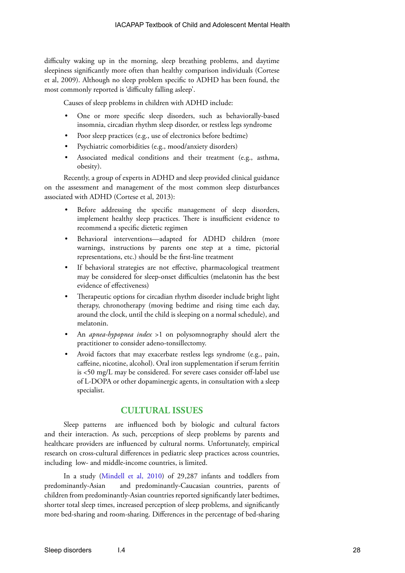difficulty waking up in the morning, sleep breathing problems, and daytime sleepiness significantly more often than healthy comparison individuals (Cortese et al, 2009). Although no sleep problem specific to ADHD has been found, the most commonly reported is 'difficulty falling asleep'.

Causes of sleep problems in children with ADHD include:

- One or more specific sleep disorders, such as behaviorally-based insomnia, circadian rhythm sleep disorder, or restless legs syndrome
- Poor sleep practices (e.g., use of electronics before bedtime)
- Psychiatric comorbidities (e.g., mood/anxiety disorders)
- Associated medical conditions and their treatment (e.g., asthma, obesity).

Recently, a group of experts in ADHD and sleep provided clinical guidance on the assessment and management of the most common sleep disturbances associated with ADHD (Cortese et al, 2013):

- Before addressing the specific management of sleep disorders, implement healthy sleep practices. There is insufficient evidence to recommend a specific dietetic regimen
- Behavioral interventions—adapted for ADHD children (more warnings, instructions by parents one step at a time, pictorial representations, etc.) should be the first-line treatment
- If behavioral strategies are not effective, pharmacological treatment may be considered for sleep-onset difficulties (melatonin has the best evidence of effectiveness)
- Therapeutic options for circadian rhythm disorder include bright light therapy, chronotherapy (moving bedtime and rising time each day, around the clock, until the child is sleeping on a normal schedule), and melatonin.
- An *apnea-hypopnea index* >1 on polysomnography should alert the practitioner to consider adeno-tonsillectomy.
- Avoid factors that may exacerbate restless legs syndrome (e.g., pain, caffeine, nicotine, alcohol). Oral iron supplementation if serum ferritin is <50 mg/L may be considered. For severe cases consider off-label use of L-DOPA or other dopaminergic agents, in consultation with a sleep specialist.

#### **CULTURAL ISSUES**

Sleep patterns are influenced both by biologic and cultural factors and their interaction. As such, perceptions of sleep problems by parents and healthcare providers are influenced by cultural norms. Unfortunately, empirical research on cross-cultural differences in pediatric sleep practices across countries, including low- and middle-income countries, is limited.

In a study [\(Mindell et al, 2010](http://www.tau.ac.il/~sadeh/clinic/Mindell%202010%20cross-cultural%20infant%20sleep.pdf)) of 29,287 infants and toddlers from predominantly-Asian and predominantly-Caucasian countries, parents of children from predominantly-Asian countries reported significantly later bedtimes, shorter total sleep times, increased perception of sleep problems, and significantly more bed-sharing and room-sharing. Differences in the percentage of bed-sharing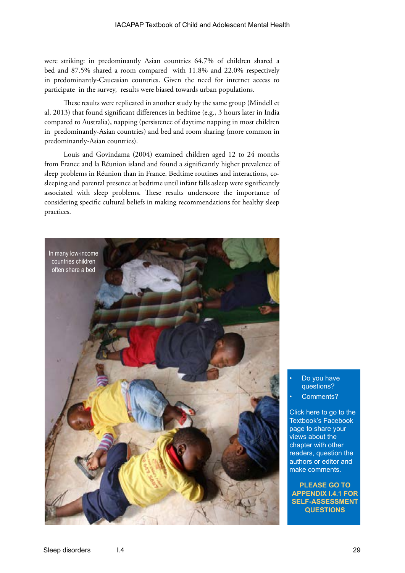were striking: in predominantly Asian countries 64.7% of children shared a bed and 87.5% shared a room compared with 11.8% and 22.0% respectively in predominantly-Caucasian countries. Given the need for internet access to participate in the survey, results were biased towards urban populations.

These results were replicated in another study by the same group (Mindell et al, 2013) that found significant differences in bedtime (e.g., 3 hours later in India compared to Australia), napping (persistence of daytime napping in most children in predominantly-Asian countries) and bed and room sharing (more common in predominantly-Asian countries).

Louis and Govindama (2004) examined children aged 12 to 24 months from France and la Réunion island and found a significantly higher prevalence of sleep problems in Réunion than in France. Bedtime routines and interactions, cosleeping and parental presence at bedtime until infant falls asleep were significantly associated with sleep problems. These results underscore the importance of considering specific cultural beliefs in making recommendations for healthy sleep practices.



• Do you have questions?

Comments?

Click here to go to the Textbook's Facebook page to share your views about the chapter with other readers, question the authors or editor and make comments.

**PLEASE GO TO APPENDIX I.4.1 FOR [SELF-ASSESSMENT](https://www.facebook.com/pages/IACAPAP-Textbook-of-Child-and-Adolescent-Mental-Health/249690448525378)  QUESTIONS**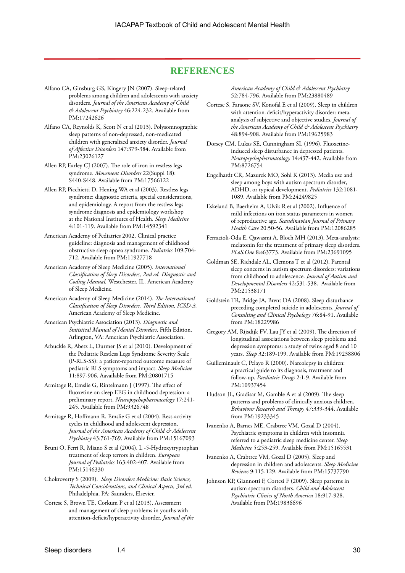#### **REFERENCES**

Alfano CA, Ginsburg GS, Kingery JN (2007). Sleep-related problems among children and adolescents with anxiety disorders. *Journal of the American Academy of Child & Adolescent Psychiatry* 46:224-232. Available from PM:17242626

Alfano CA, Reynolds K, Scott N et al (2013). Polysomnographic sleep patterns of non-depressed, non-medicated children with generalized anxiety disorder. *Journal of Affective Disorders* 147:379-384. Available from PM:23026127

Allen RP, Earley CJ (2007). The role of iron in restless legs syndrome. *Movement Disorders* 22(Suppl 18): S440-S448. Available from PM:17566122

- Allen RP, Picchietti D, Hening WA et al (2003). Restless legs syndrome: diagnostic criteria, special considerations, and epidemiology. A report from the restless legs syndrome diagnosis and epidemiology workshop at the National Institutes of Health. *Sleep Medicine* 4:101-119. Available from PM:14592341
- American Academy of Pediatrics 2002. Clinical practice guideline: diagnosis and management of childhood obstructive sleep apnea syndrome. *Pediatrics* 109:704- 712. Available from PM:11927718
- American Academy of Sleep Medicine (2005). *International Classification of Sleep Disorders, 2nd ed. Diagnostic and Coding Manual.* Westchester, IL. American Academy of Sleep Medicine.
- American Academy of Sleep Medicine (2014). *The International Classification of Sleep Disorders. Third Edition, ICSD-3.* American Academy of Sleep Medicine.
- American Psychiatric Association (2013). *Diagnostic and Statistical Manual of Mental Disorders,* Fifth Edition. Arlington, VA: American Psychiatric Association.
- Arbuckle R, Abetz L, Durmer JS et al (2010). Development of the Pediatric Restless Legs Syndrome Severity Scale (P-RLS-SS): a patient-reported outcome measure of pediatric RLS symptoms and impact. *Sleep Medicine* 11:897-906. Aavailable from PM:20801715
- Armitage R, Emslie G, Rintelmann J (1997). The effect of fluoxetine on sleep EEG in childhood depression: a preliminary report. *Neuropsychopharmacology* 17:241- 245. Available from PM:9326748
- Armitage R, Hoffmann R, Emslie G et al (2004). Rest-activity cycles in childhood and adolescent depression. *Journal of the American Academy of Child & Adolescent Psychiatry* 43:761-769. Available from PM:15167093
- Bruni O, Ferri R, Miano S et al (2004). L -5-Hydroxytryptophan treatment of sleep terrors in children. *European Journal of Pediatrics* 163:402-407. Available from PM:15146330
- Chokroverty S (2009). *Sleep Disorders Medicine: Basic Science, Technical Considerations, and Clinical Aspects, 3rd ed*. Philadelphia, PA: Saunders, Elsevier.
- Cortese S, Brown TE, Corkum P et al (2013). Assessment and management of sleep problems in youths with attention-deficit/hyperactivity disorder. *Journal of the*

*American Academy of Child & Adolescent Psychiatry* 52:784-796. Available from PM:23880489

- Cortese S, Faraone SV, Konofal E et al (2009). Sleep in children with attention-deficit/hyperactivity disorder: metaanalysis of subjective and objective studies. *Journal of the American Academy of Child & Adolescent Psychiatry* 48:894-908. Available from PM:19625983
- Dorsey CM, Lukas SE, Cunningham SL (1996). Fluoxetineinduced sleep disturbance in depressed patients. *Neuropsychopharmacology* 14:437-442. Available from PM:8726754
- Engelhardt CR, Mazurek MO, Sohl K (2013). Media use and sleep among boys with autism spectrum disorder, ADHD, or typical development. *Pediatrics* 132:1081- 1089. Available from PM:24249825
- Eskeland B, Baerheim A, Ulvik R et al (2002). Influence of mild infections on iron status parameters in women of reproductive age. *Scandinavian Journal of Primary Health Care* 20:50-56. Available from PM:12086285
- Ferracioli-Oda E, Qawasmi A, Bloch MH (2013). Meta-analysis: melatonin for the treatment of primary sleep disorders. *PLoS.One* 8:e63773. Available from PM:23691095
- Goldman SE, Richdale AL, Clemons T et al (2012). Parental sleep concerns in autism spectrum disorders: variations from childhood to adolescence. *Journal of Autism and Developmental Disorders* 42:531-538. Available from PM:21538171
- Goldstein TR, Bridge JA, Brent DA (2008). Sleep disturbance preceding completed suicide in adolescents. *Journal of Consulting and Clinical Psychology* 76:84-91. Available from PM:18229986
- Gregory AM, Rijsdijk FV, Lau JY et al (2009). The direction of longitudinal associations between sleep problems and depression symptoms: a study of twins aged 8 and 10 years. *Sleep* 32:189-199. Available from PM:19238806
- Guilleminault C, Pelayo R (2000). Narcolepsy in children: a practical guide to its diagnosis, treatment and follow-up. *Paediatric Drugs* 2:1-9. Available from PM:10937454
- Hudson JL, Gradisar M, Gamble A et al (2009). The sleep patterns and problems of clinically anxious children. *Behaviour Research and Therapy* 47:339-344. Available from PM:19233345
- Ivanenko A, Barnes ME, Crabtree VM, Gozal D (2004). Psychiatric symptoms in children with insomnia referred to a pediatric sleep medicine center. *Sleep Medicine* 5:253-259. Available from PM:15165531
- Ivanenko A, Crabtree VM, Gozal D (2005). Sleep and depression in children and adolescents. *Sleep Medicine Reviews* 9:115-129. Available from PM:15737790
- Johnson KP, Giannotti F, Cortesi F (2009). Sleep patterns in autism spectrum disorders. *Child and Adolescent Psychiatric Clinics of North America* 18:917-928. Available from PM:19836696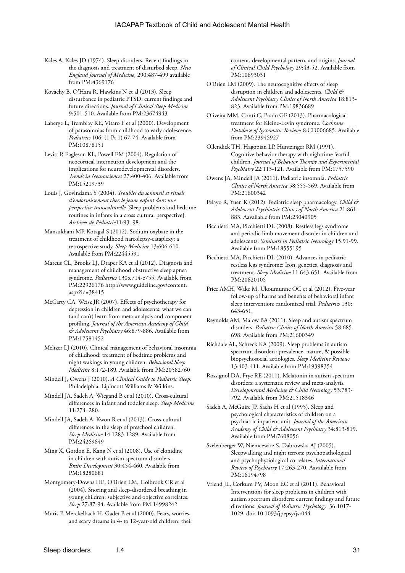- Kales A, Kales JD (1974). Sleep disorders. Recent findings in the diagnosis and treatment of disturbed sleep. *New England Journal of Medicine*, 290:487-499 available from PM:4369176
- Kovachy B, O'Hara R, Hawkins N et al (2013). Sleep disturbance in pediatric PTSD: current findings and future directions. *Journal of Clinical Sleep Medicine* 9:501-510. Available from PM:23674943
- Laberge L, Tremblay RE, Vitaro F et al (2000). Development of parasomnias from childhood to early adolescence. *Pediatrics* 106: (1 Pt 1) 67-74. Available from PM:10878151
- Levitt P, Eagleson KL, Powell EM (2004). Regulation of neocortical interneuron development and the implications for neurodevelopmental disorders. *Trends in Neurosciences* 27:400-406. Available from PM:15219739
- Louis J, Govindama Y (2004). *Troubles du sommeil et rituels d'endormissement chez le jeune enfant dans une perspective transculturelle* [Sleep problems and bedtime routines in infants in a cross cultural perspective]. *Archives de Pédiatrie*11:93–98.
- Mansukhani MP, Kotagal S (2012). Sodium oxybate in the treatment of childhood narcolepsy-cataplexy: a retrospective study. *Sleep Medicine* 13:606-610. Available from PM:22445591
- Marcus CL, Brooks LJ, Draper KA et al (2012). Diagnosis and management of childhood obstructive sleep apnea syndrome. *Pediatrics* 130:e714-e755. Available from PM:22926176 http://www.guideline.gov/content. aspx?id=38415
- McCarty CA, Weisz JR (2007). Effects of psychotherapy for depression in children and adolescents: what we can (and can't) learn from meta-analysis and component profiling. *Journal of the American Academy of Child & Adolescent Psychiatry* 46:879-886. Available from PM:17581452
- Meltzer LJ (2010). Clinical management of behavioral insomnia of childhood: treatment of bedtime problems and night wakings in young children. *Behavioral Sleep Medicine* 8:172-189. Available from PM:20582760
- Mindell J, Owens J (2010). *A Clinical Guide to Pediatric Sleep*. Philadelphia: Lipincott Williams & Wilkins.
- Mindell JA, Sadeh A, Wiegand B et al (2010). Cross-cultural differences in infant and toddler sleep. *Sleep Medicine* 11:274–280.
- Mindell JA, Sadeh A, Kwon R et al (2013). Cross-cultural differences in the sleep of preschool children. *Sleep Medicine* 14:1283-1289. Available from PM:24269649
- Ming X, Gordon E, Kang N et al (2008). Use of clonidine in children with autism spectrum disorders. *Brain Development* 30:454-460. Available from PM:18280681
- Montgomery-Downs HE, O'Brien LM, Holbrook CR et al (2004). Snoring and sleep-disordered breathing in young children: subjective and objective correlates. *Sleep* 27:87-94. Available from PM:14998242
- Muris P, Merckelbach H, Gadet B et al (2000). Fears, worries, and scary dreams in 4- to 12-year-old children: their

content, developmental pattern, and origins. *Journal of Clinical Child Psychology* 29:43-52. Available from PM:10693031

- O'Brien LM (2009). The neurocognitive effects of sleep disruption in children and adolescents. *Child & Adolescent Psychiatry Clinics of North America* 18:813- 823. Available from PM:19836689
- Oliveira MM, Conti C, Prado GF (2013). Pharmacological treatment for Kleine-Levin syndrome. *Cochrane Database of Systematic Reviews* 8:CD006685. Available from PM:23945927
- Ollendick TH, Hagopian LP, Huntzinger RM (1991). Cognitive-behavior therapy with nighttime fearful children. *Journal of Behavior Therapy and Experimental Psychiatry* 22:113-121. Available from PM:1757590
- Owens JA, Mindell JA (2011). Pediatric insomnia. *Pediatric Clinics of North America* 58:555-569. Available from PM:21600342
- Pelayo R, Yuen K (2012). Pediatric sleep pharmacology. *Child & Adolescent Psychiatric Clinics of North America* 21:861- 883. Aavailable from PM:23040905
- Picchietti MA, Picchietti DL (2008). Restless legs syndrome and periodic limb movement disorder in children and adolescents. *Seminars in Pediatric Neurology* 15:91-99. Available from PM:18555195
- Picchietti MA, Picchietti DL (2010). Advances in pediatric restless legs syndrome: Iron, genetics, diagnosis and treatment. *Sleep Medicine* 11:643-651. Available from PM:20620105
- Price AMH, Wake M, Ukoumunne OC et al (2012). Five-year follow-up of harms and benefits of behavioral infant sleep intervention: randomized trial. *Pediatrics* 130: 643-651.
- Reynolds AM, Malow BA (2011). Sleep and autism spectrum disorders. *Pediatric Clinics of North America* 58:685- 698. Available from PM:21600349
- Richdale AL, Schreck KA (2009). Sleep problems in autism spectrum disorders: prevalence, nature, & possible biopsychosocial aetiologies. *Sleep Medicine Reviews* 13:403-411. Available from PM:19398354
- Rossignol DA, Frye RE (2011). Melatonin in autism spectrum disorders: a systematic review and meta-analysis. *Developmental Medicine & Child Neurology* 53:783- 792. Available from PM:21518346
- Sadeh A, McGuire JP, Sachs H et al (1995). Sleep and psychological characteristics of children on a psychiatric inpatient unit. *Journal of the American Academy of Child & Adolescent Psychiatry* 34:813-819. Available from PM:7608056
- Szelenberger W, Niemcewicz S, Dabrowska AJ (2005). Sleepwalking and night terrors: psychopathological and psychophysiological correlates. *International Review of Psychiatry* 17:263-270. Aavailable from PM:16194798
- Vriend JL, Corkum PV, Moon EC et al (2011). Behavioral Interventions for sleep problems in children with autism spectrum disorders: current findings and future directions. *Journal of Pediatric Psychology* 36:1017- 1029. doi: 10.1093/jpepsy/jsr044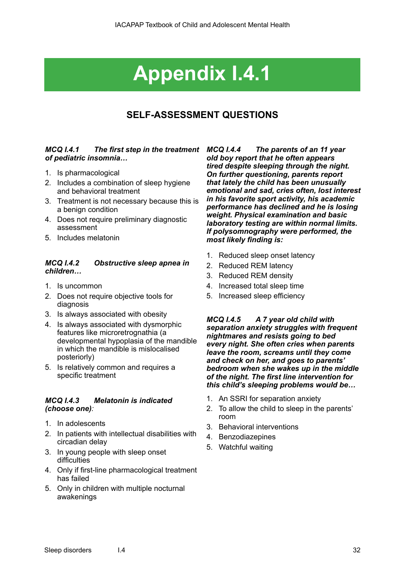# **Appendix I.4.1**

### **SELF-ASSESSMENT QUESTIONS**

#### *MCQ I.4.1 The first step in the treatment of pediatric insomnia…*

- 1. Is pharmacological
- 2. Includes a combination of sleep hygiene and behavioral treatment
- 3. Treatment is not necessary because this is a benign condition
- 4. Does not require preliminary diagnostic assessment
- 5. Includes melatonin

#### *MCQ I.4.2 Obstructive sleep apnea in children…*

- 1. Is uncommon
- 2. Does not require objective tools for diagnosis
- 3. Is always associated with obesity
- 4. Is always associated with dysmorphic features like microretrognathia (a developmental hypoplasia of the mandible in which the mandible is mislocalised posteriorly)
- 5. Is relatively common and requires a specific treatment

#### *MCQ I.4.3 Melatonin is indicated (choose one):*

- 1. In adolescents
- 2. In patients with intellectual disabilities with circadian delay
- 3. In young people with sleep onset difficulties
- 4. Only if first-line pharmacological treatment has failed
- 5. Only in children with multiple nocturnal awakenings

*MCQ I.4.4 The parents of an 11 year old boy report that he often appears tired despite sleeping through the night. On further questioning, parents report that lately the child has been unusually emotional and sad, cries often, lost interest in his favorite sport activity, his academic performance has declined and he is losing weight. Physical examination and basic laboratory testing are within normal limits. If polysomnography were performed, the most likely finding is:* 

- 1. Reduced sleep onset latency
- 2. Reduced REM latency
- 3. Reduced REM density
- 4. Increased total sleep time
- 5. Increased sleep efficiency

*MCQ I.4.5 A 7 year old child with separation anxiety struggles with frequent nightmares and resists going to bed every night. She often cries when parents leave the room, screams until they come and check on her, and goes to parents' bedroom when she wakes up in the middle of the night. The first line intervention for this child's sleeping problems would be…* 

- 1. An SSRI for separation anxiety
- 2. To allow the child to sleep in the parents' room
- 3. Behavioral interventions
- 4. Benzodiazepines
- 5. Watchful waiting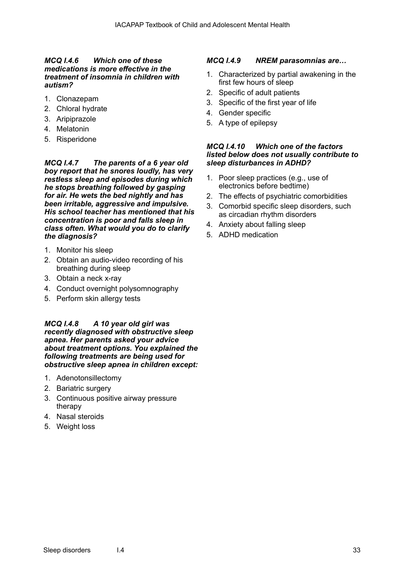#### *MCQ I.4.6 Which one of these medications is more effective in the treatment of insomnia in children with autism?*

- 1. Clonazepam
- 2. Chloral hydrate
- 3. Aripiprazole
- 4. Melatonin
- 5. Risperidone

*MCQ I.4.7 The parents of a 6 year old boy report that he snores loudly, has very restless sleep and episodes during which he stops breathing followed by gasping for air. He wets the bed nightly and has been irritable, aggressive and impulsive. His school teacher has mentioned that his concentration is poor and falls sleep in class often. What would you do to clarify the diagnosis?*

- 1. Monitor his sleep
- 2. Obtain an audio-video recording of his breathing during sleep
- 3. Obtain a neck x-ray
- 4. Conduct overnight polysomnography
- 5. Perform skin allergy tests

*MCQ I.4.8 A 10 year old girl was recently diagnosed with obstructive sleep apnea. Her parents asked your advice about treatment options. You explained the following treatments are being used for obstructive sleep apnea in children except:*

- 1. Adenotonsillectomy
- 2. Bariatric surgery
- 3. Continuous positive airway pressure therapy
- 4. Nasal steroids
- 5. Weight loss

#### *MCQ I.4.9 NREM parasomnias are…*

- 1. Characterized by partial awakening in the first few hours of sleep
- 2. Specific of adult patients
- 3. Specific of the first year of life
- 4. Gender specific
- 5. A type of epilepsy

#### *MCQ I.4.10 Which one of the factors listed below does not usually contribute to sleep disturbances in ADHD?*

- 1. Poor sleep practices (e.g., use of electronics before bedtime)
- 2. The effects of psychiatric comorbidities
- 3. Comorbid specific sleep disorders, such as circadian rhythm disorders
- 4. Anxiety about falling sleep
- 5. ADHD medication